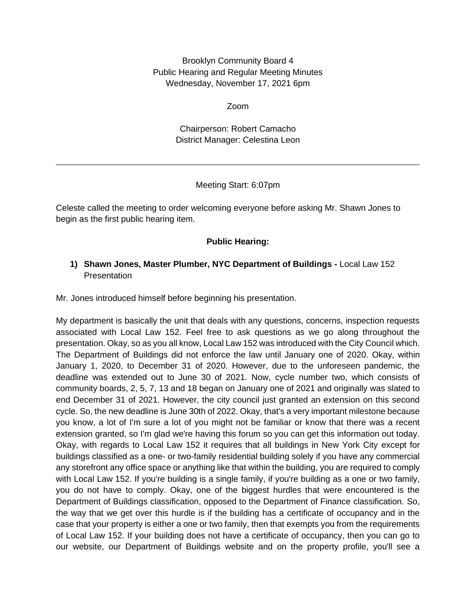Brooklyn Community Board 4 Public Hearing and Regular Meeting Minutes Wednesday, November 17, 2021 6pm

Zoom

Chairperson: Robert Camacho District Manager: Celestina Leon

## Meeting Start: 6:07pm

Celeste called the meeting to order welcoming everyone before asking Mr. Shawn Jones to begin as the first public hearing item.

# **Public Hearing:**

# **1) Shawn Jones, Master Plumber, NYC Department of Buildings -** Local Law 152 **Presentation**

Mr. Jones introduced himself before beginning his presentation.

My department is basically the unit that deals with any questions, concerns, inspection requests associated with Local Law 152. Feel free to ask questions as we go along throughout the presentation. Okay, so as you all know, Local Law 152 was introduced with the City Council which. The Department of Buildings did not enforce the law until January one of 2020. Okay, within January 1, 2020, to December 31 of 2020. However, due to the unforeseen pandemic, the deadline was extended out to June 30 of 2021. Now, cycle number two, which consists of community boards, 2, 5, 7, 13 and 18 began on January one of 2021 and originally was slated to end December 31 of 2021. However, the city council just granted an extension on this second cycle. So, the new deadline is June 30th of 2022. Okay, that's a very important milestone because you know, a lot of I'm sure a lot of you might not be familiar or know that there was a recent extension granted, so I'm glad we're having this forum so you can get this information out today. Okay, with regards to Local Law 152 it requires that all buildings in New York City except for buildings classified as a one- or two-family residential building solely if you have any commercial any storefront any office space or anything like that within the building, you are required to comply with Local Law 152. If you're building is a single family, if you're building as a one or two family, you do not have to comply. Okay, one of the biggest hurdles that were encountered is the Department of Buildings classification, opposed to the Department of Finance classification. So, the way that we get over this hurdle is if the building has a certificate of occupancy and in the case that your property is either a one or two family, then that exempts you from the requirements of Local Law 152. If your building does not have a certificate of occupancy, then you can go to our website, our Department of Buildings website and on the property profile, you'll see a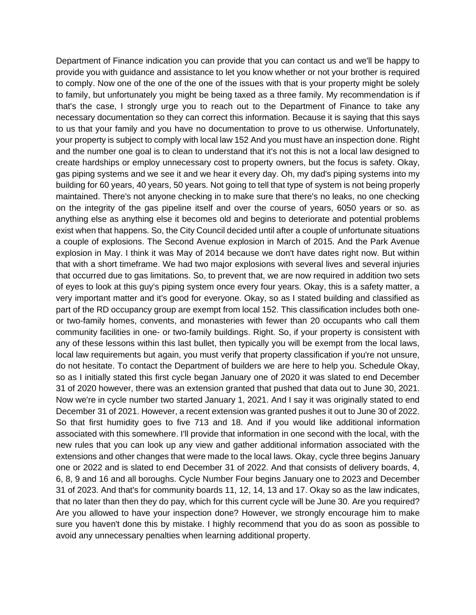Department of Finance indication you can provide that you can contact us and we'll be happy to provide you with guidance and assistance to let you know whether or not your brother is required to comply. Now one of the one of the one of the issues with that is your property might be solely to family, but unfortunately you might be being taxed as a three family. My recommendation is if that's the case, I strongly urge you to reach out to the Department of Finance to take any necessary documentation so they can correct this information. Because it is saying that this says to us that your family and you have no documentation to prove to us otherwise. Unfortunately, your property is subject to comply with local law 152 And you must have an inspection done. Right and the number one goal is to clean to understand that it's not this is not a local law designed to create hardships or employ unnecessary cost to property owners, but the focus is safety. Okay, gas piping systems and we see it and we hear it every day. Oh, my dad's piping systems into my building for 60 years, 40 years, 50 years. Not going to tell that type of system is not being properly maintained. There's not anyone checking in to make sure that there's no leaks, no one checking on the integrity of the gas pipeline itself and over the course of years, 6050 years or so. as anything else as anything else it becomes old and begins to deteriorate and potential problems exist when that happens. So, the City Council decided until after a couple of unfortunate situations a couple of explosions. The Second Avenue explosion in March of 2015. And the Park Avenue explosion in May. I think it was May of 2014 because we don't have dates right now. But within that with a short timeframe. We had two major explosions with several lives and several injuries that occurred due to gas limitations. So, to prevent that, we are now required in addition two sets of eyes to look at this guy's piping system once every four years. Okay, this is a safety matter, a very important matter and it's good for everyone. Okay, so as I stated building and classified as part of the RD occupancy group are exempt from local 152. This classification includes both oneor two-family homes, convents, and monasteries with fewer than 20 occupants who call them community facilities in one- or two-family buildings. Right. So, if your property is consistent with any of these lessons within this last bullet, then typically you will be exempt from the local laws, local law requirements but again, you must verify that property classification if you're not unsure, do not hesitate. To contact the Department of builders we are here to help you. Schedule Okay, so as I initially stated this first cycle began January one of 2020 it was slated to end December 31 of 2020 however, there was an extension granted that pushed that data out to June 30, 2021. Now we're in cycle number two started January 1, 2021. And I say it was originally stated to end December 31 of 2021. However, a recent extension was granted pushes it out to June 30 of 2022. So that first humidity goes to five 713 and 18. And if you would like additional information associated with this somewhere. I'll provide that information in one second with the local, with the new rules that you can look up any view and gather additional information associated with the extensions and other changes that were made to the local laws. Okay, cycle three begins January one or 2022 and is slated to end December 31 of 2022. And that consists of delivery boards, 4, 6, 8, 9 and 16 and all boroughs. Cycle Number Four begins January one to 2023 and December 31 of 2023. And that's for community boards 11, 12, 14, 13 and 17. Okay so as the law indicates, that no later than then they do pay, which for this current cycle will be June 30. Are you required? Are you allowed to have your inspection done? However, we strongly encourage him to make sure you haven't done this by mistake. I highly recommend that you do as soon as possible to avoid any unnecessary penalties when learning additional property.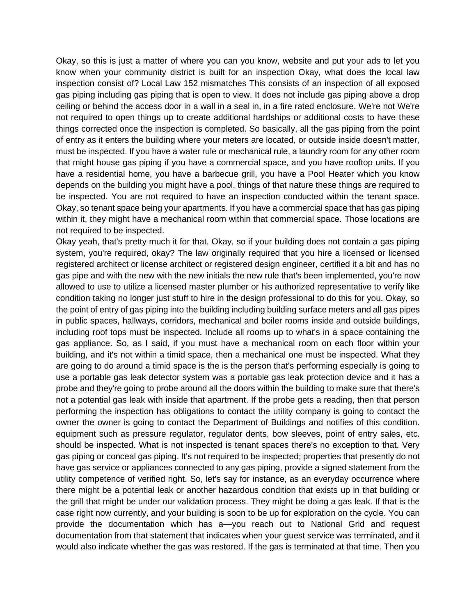Okay, so this is just a matter of where you can you know, website and put your ads to let you know when your community district is built for an inspection Okay, what does the local law inspection consist of? Local Law 152 mismatches This consists of an inspection of all exposed gas piping including gas piping that is open to view. It does not include gas piping above a drop ceiling or behind the access door in a wall in a seal in, in a fire rated enclosure. We're not We're not required to open things up to create additional hardships or additional costs to have these things corrected once the inspection is completed. So basically, all the gas piping from the point of entry as it enters the building where your meters are located, or outside inside doesn't matter, must be inspected. If you have a water rule or mechanical rule, a laundry room for any other room that might house gas piping if you have a commercial space, and you have rooftop units. If you have a residential home, you have a barbecue grill, you have a Pool Heater which you know depends on the building you might have a pool, things of that nature these things are required to be inspected. You are not required to have an inspection conducted within the tenant space. Okay, so tenant space being your apartments. If you have a commercial space that has gas piping within it, they might have a mechanical room within that commercial space. Those locations are not required to be inspected.

Okay yeah, that's pretty much it for that. Okay, so if your building does not contain a gas piping system, you're required, okay? The law originally required that you hire a licensed or licensed registered architect or license architect or registered design engineer, certified it a bit and has no gas pipe and with the new with the new initials the new rule that's been implemented, you're now allowed to use to utilize a licensed master plumber or his authorized representative to verify like condition taking no longer just stuff to hire in the design professional to do this for you. Okay, so the point of entry of gas piping into the building including building surface meters and all gas pipes in public spaces, hallways, corridors, mechanical and boiler rooms inside and outside buildings, including roof tops must be inspected. Include all rooms up to what's in a space containing the gas appliance. So, as I said, if you must have a mechanical room on each floor within your building, and it's not within a timid space, then a mechanical one must be inspected. What they are going to do around a timid space is the is the person that's performing especially is going to use a portable gas leak detector system was a portable gas leak protection device and it has a probe and they're going to probe around all the doors within the building to make sure that there's not a potential gas leak with inside that apartment. If the probe gets a reading, then that person performing the inspection has obligations to contact the utility company is going to contact the owner the owner is going to contact the Department of Buildings and notifies of this condition. equipment such as pressure regulator, regulator dents, bow sleeves, point of entry sales, etc. should be inspected. What is not inspected is tenant spaces there's no exception to that. Very gas piping or conceal gas piping. It's not required to be inspected; properties that presently do not have gas service or appliances connected to any gas piping, provide a signed statement from the utility competence of verified right. So, let's say for instance, as an everyday occurrence where there might be a potential leak or another hazardous condition that exists up in that building or the grill that might be under our validation process. They might be doing a gas leak. If that is the case right now currently, and your building is soon to be up for exploration on the cycle. You can provide the documentation which has a—you reach out to National Grid and request documentation from that statement that indicates when your guest service was terminated, and it would also indicate whether the gas was restored. If the gas is terminated at that time. Then you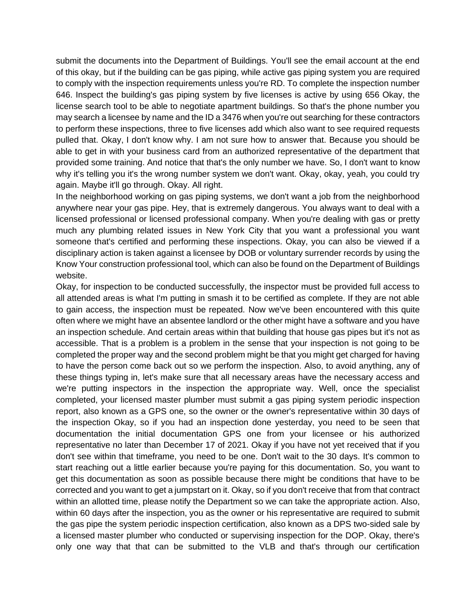submit the documents into the Department of Buildings. You'll see the email account at the end of this okay, but if the building can be gas piping, while active gas piping system you are required to comply with the inspection requirements unless you're RD. To complete the inspection number 646. Inspect the building's gas piping system by five licenses is active by using 656 Okay, the license search tool to be able to negotiate apartment buildings. So that's the phone number you may search a licensee by name and the ID a 3476 when you're out searching for these contractors to perform these inspections, three to five licenses add which also want to see required requests pulled that. Okay, I don't know why. I am not sure how to answer that. Because you should be able to get in with your business card from an authorized representative of the department that provided some training. And notice that that's the only number we have. So, I don't want to know why it's telling you it's the wrong number system we don't want. Okay, okay, yeah, you could try again. Maybe it'll go through. Okay. All right.

In the neighborhood working on gas piping systems, we don't want a job from the neighborhood anywhere near your gas pipe. Hey, that is extremely dangerous. You always want to deal with a licensed professional or licensed professional company. When you're dealing with gas or pretty much any plumbing related issues in New York City that you want a professional you want someone that's certified and performing these inspections. Okay, you can also be viewed if a disciplinary action is taken against a licensee by DOB or voluntary surrender records by using the Know Your construction professional tool, which can also be found on the Department of Buildings website.

Okay, for inspection to be conducted successfully, the inspector must be provided full access to all attended areas is what I'm putting in smash it to be certified as complete. If they are not able to gain access, the inspection must be repeated. Now we've been encountered with this quite often where we might have an absentee landlord or the other might have a software and you have an inspection schedule. And certain areas within that building that house gas pipes but it's not as accessible. That is a problem is a problem in the sense that your inspection is not going to be completed the proper way and the second problem might be that you might get charged for having to have the person come back out so we perform the inspection. Also, to avoid anything, any of these things typing in, let's make sure that all necessary areas have the necessary access and we're putting inspectors in the inspection the appropriate way. Well, once the specialist completed, your licensed master plumber must submit a gas piping system periodic inspection report, also known as a GPS one, so the owner or the owner's representative within 30 days of the inspection Okay, so if you had an inspection done yesterday, you need to be seen that documentation the initial documentation GPS one from your licensee or his authorized representative no later than December 17 of 2021. Okay if you have not yet received that if you don't see within that timeframe, you need to be one. Don't wait to the 30 days. It's common to start reaching out a little earlier because you're paying for this documentation. So, you want to get this documentation as soon as possible because there might be conditions that have to be corrected and you want to get a jumpstart on it. Okay, so if you don't receive that from that contract within an allotted time, please notify the Department so we can take the appropriate action. Also, within 60 days after the inspection, you as the owner or his representative are required to submit the gas pipe the system periodic inspection certification, also known as a DPS two-sided sale by a licensed master plumber who conducted or supervising inspection for the DOP. Okay, there's only one way that that can be submitted to the VLB and that's through our certification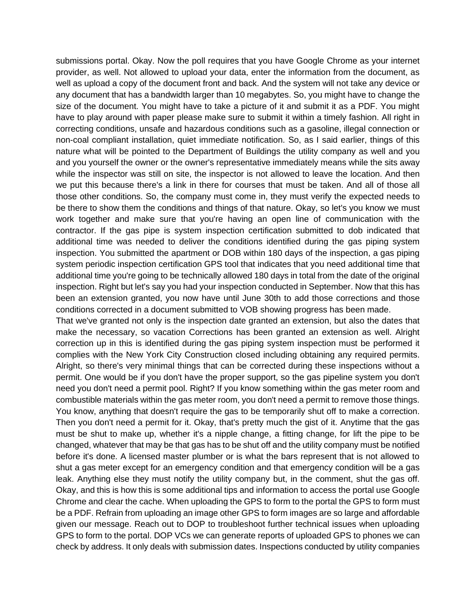submissions portal. Okay. Now the poll requires that you have Google Chrome as your internet provider, as well. Not allowed to upload your data, enter the information from the document, as well as upload a copy of the document front and back. And the system will not take any device or any document that has a bandwidth larger than 10 megabytes. So, you might have to change the size of the document. You might have to take a picture of it and submit it as a PDF. You might have to play around with paper please make sure to submit it within a timely fashion. All right in correcting conditions, unsafe and hazardous conditions such as a gasoline, illegal connection or non-coal compliant installation, quiet immediate notification. So, as I said earlier, things of this nature what will be pointed to the Department of Buildings the utility company as well and you and you yourself the owner or the owner's representative immediately means while the sits away while the inspector was still on site, the inspector is not allowed to leave the location. And then we put this because there's a link in there for courses that must be taken. And all of those all those other conditions. So, the company must come in, they must verify the expected needs to be there to show them the conditions and things of that nature. Okay, so let's you know we must work together and make sure that you're having an open line of communication with the contractor. If the gas pipe is system inspection certification submitted to dob indicated that additional time was needed to deliver the conditions identified during the gas piping system inspection. You submitted the apartment or DOB within 180 days of the inspection, a gas piping system periodic inspection certification GPS tool that indicates that you need additional time that additional time you're going to be technically allowed 180 days in total from the date of the original inspection. Right but let's say you had your inspection conducted in September. Now that this has been an extension granted, you now have until June 30th to add those corrections and those conditions corrected in a document submitted to VOB showing progress has been made.

That we've granted not only is the inspection date granted an extension, but also the dates that make the necessary, so vacation Corrections has been granted an extension as well. Alright correction up in this is identified during the gas piping system inspection must be performed it complies with the New York City Construction closed including obtaining any required permits. Alright, so there's very minimal things that can be corrected during these inspections without a permit. One would be if you don't have the proper support, so the gas pipeline system you don't need you don't need a permit pool. Right? If you know something within the gas meter room and combustible materials within the gas meter room, you don't need a permit to remove those things. You know, anything that doesn't require the gas to be temporarily shut off to make a correction. Then you don't need a permit for it. Okay, that's pretty much the gist of it. Anytime that the gas must be shut to make up, whether it's a nipple change, a fitting change, for lift the pipe to be changed, whatever that may be that gas has to be shut off and the utility company must be notified before it's done. A licensed master plumber or is what the bars represent that is not allowed to shut a gas meter except for an emergency condition and that emergency condition will be a gas leak. Anything else they must notify the utility company but, in the comment, shut the gas off. Okay, and this is how this is some additional tips and information to access the portal use Google Chrome and clear the cache. When uploading the GPS to form to the portal the GPS to form must be a PDF. Refrain from uploading an image other GPS to form images are so large and affordable given our message. Reach out to DOP to troubleshoot further technical issues when uploading GPS to form to the portal. DOP VCs we can generate reports of uploaded GPS to phones we can check by address. It only deals with submission dates. Inspections conducted by utility companies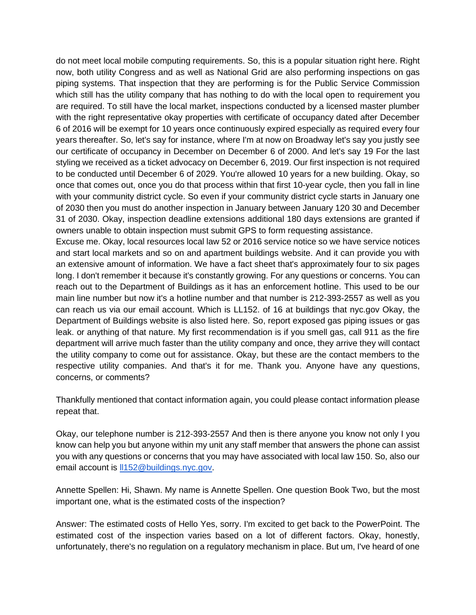do not meet local mobile computing requirements. So, this is a popular situation right here. Right now, both utility Congress and as well as National Grid are also performing inspections on gas piping systems. That inspection that they are performing is for the Public Service Commission which still has the utility company that has nothing to do with the local open to requirement you are required. To still have the local market, inspections conducted by a licensed master plumber with the right representative okay properties with certificate of occupancy dated after December 6 of 2016 will be exempt for 10 years once continuously expired especially as required every four years thereafter. So, let's say for instance, where I'm at now on Broadway let's say you justly see our certificate of occupancy in December on December 6 of 2000. And let's say 19 For the last styling we received as a ticket advocacy on December 6, 2019. Our first inspection is not required to be conducted until December 6 of 2029. You're allowed 10 years for a new building. Okay, so once that comes out, once you do that process within that first 10-year cycle, then you fall in line with your community district cycle. So even if your community district cycle starts in January one of 2030 then you must do another inspection in January between January 120 30 and December 31 of 2030. Okay, inspection deadline extensions additional 180 days extensions are granted if owners unable to obtain inspection must submit GPS to form requesting assistance.

Excuse me. Okay, local resources local law 52 or 2016 service notice so we have service notices and start local markets and so on and apartment buildings website. And it can provide you with an extensive amount of information. We have a fact sheet that's approximately four to six pages long. I don't remember it because it's constantly growing. For any questions or concerns. You can reach out to the Department of Buildings as it has an enforcement hotline. This used to be our main line number but now it's a hotline number and that number is 212-393-2557 as well as you can reach us via our email account. Which is LL152. of 16 at buildings that nyc.gov Okay, the Department of Buildings website is also listed here. So, report exposed gas piping issues or gas leak. or anything of that nature. My first recommendation is if you smell gas, call 911 as the fire department will arrive much faster than the utility company and once, they arrive they will contact the utility company to come out for assistance. Okay, but these are the contact members to the respective utility companies. And that's it for me. Thank you. Anyone have any questions, concerns, or comments?

Thankfully mentioned that contact information again, you could please contact information please repeat that.

Okay, our telephone number is 212-393-2557 And then is there anyone you know not only I you know can help you but anyone within my unit any staff member that answers the phone can assist you with any questions or concerns that you may have associated with local law 150. So, also our email account is [ll152@buildings.nyc.gov.](mailto:ll152@buildings.nyc.gov)

Annette Spellen: Hi, Shawn. My name is Annette Spellen. One question Book Two, but the most important one, what is the estimated costs of the inspection?

Answer: The estimated costs of Hello Yes, sorry. I'm excited to get back to the PowerPoint. The estimated cost of the inspection varies based on a lot of different factors. Okay, honestly, unfortunately, there's no regulation on a regulatory mechanism in place. But um, I've heard of one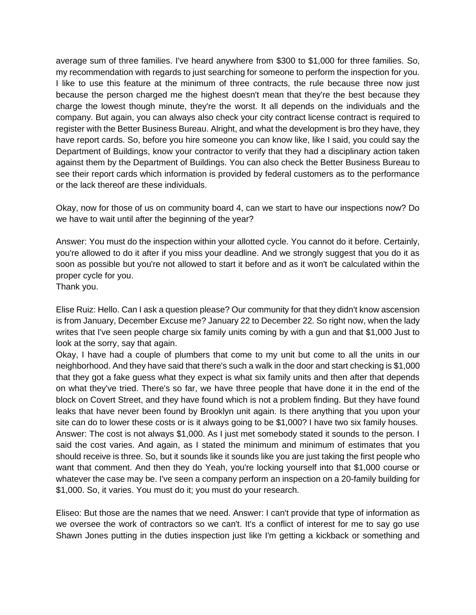average sum of three families. I've heard anywhere from \$300 to \$1,000 for three families. So, my recommendation with regards to just searching for someone to perform the inspection for you. I like to use this feature at the minimum of three contracts, the rule because three now just because the person charged me the highest doesn't mean that they're the best because they charge the lowest though minute, they're the worst. It all depends on the individuals and the company. But again, you can always also check your city contract license contract is required to register with the Better Business Bureau. Alright, and what the development is bro they have, they have report cards. So, before you hire someone you can know like, like I said, you could say the Department of Buildings, know your contractor to verify that they had a disciplinary action taken against them by the Department of Buildings. You can also check the Better Business Bureau to see their report cards which information is provided by federal customers as to the performance or the lack thereof are these individuals.

Okay, now for those of us on community board 4, can we start to have our inspections now? Do we have to wait until after the beginning of the year?

Answer: You must do the inspection within your allotted cycle. You cannot do it before. Certainly, you're allowed to do it after if you miss your deadline. And we strongly suggest that you do it as soon as possible but you're not allowed to start it before and as it won't be calculated within the proper cycle for you.

Thank you.

Elise Ruiz: Hello. Can I ask a question please? Our community for that they didn't know ascension is from January, December Excuse me? January 22 to December 22. So right now, when the lady writes that I've seen people charge six family units coming by with a gun and that \$1,000 Just to look at the sorry, say that again.

Okay, I have had a couple of plumbers that come to my unit but come to all the units in our neighborhood. And they have said that there's such a walk in the door and start checking is \$1,000 that they got a fake guess what they expect is what six family units and then after that depends on what they've tried. There's so far, we have three people that have done it in the end of the block on Covert Street, and they have found which is not a problem finding. But they have found leaks that have never been found by Brooklyn unit again. Is there anything that you upon your site can do to lower these costs or is it always going to be \$1,000? I have two six family houses. Answer: The cost is not always \$1,000. As I just met somebody stated it sounds to the person. I said the cost varies. And again, as I stated the minimum and minimum of estimates that you should receive is three. So, but it sounds like it sounds like you are just taking the first people who want that comment. And then they do Yeah, you're locking yourself into that \$1,000 course or whatever the case may be. I've seen a company perform an inspection on a 20-family building for \$1,000. So, it varies. You must do it; you must do your research.

Eliseo: But those are the names that we need. Answer: I can't provide that type of information as we oversee the work of contractors so we can't. It's a conflict of interest for me to say go use Shawn Jones putting in the duties inspection just like I'm getting a kickback or something and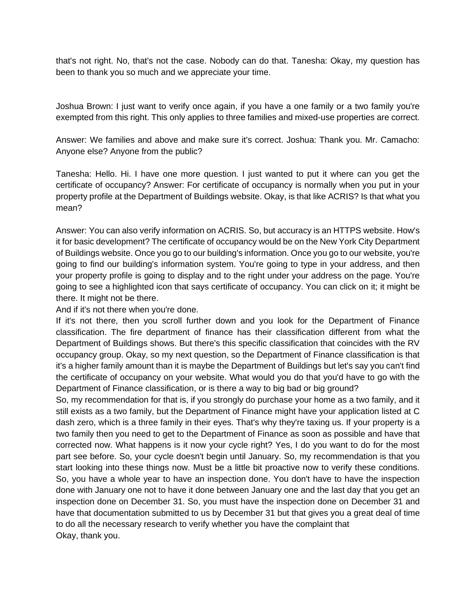that's not right. No, that's not the case. Nobody can do that. Tanesha: Okay, my question has been to thank you so much and we appreciate your time.

Joshua Brown: I just want to verify once again, if you have a one family or a two family you're exempted from this right. This only applies to three families and mixed-use properties are correct.

Answer: We families and above and make sure it's correct. Joshua: Thank you. Mr. Camacho: Anyone else? Anyone from the public?

Tanesha: Hello. Hi. I have one more question. I just wanted to put it where can you get the certificate of occupancy? Answer: For certificate of occupancy is normally when you put in your property profile at the Department of Buildings website. Okay, is that like ACRIS? Is that what you mean?

Answer: You can also verify information on ACRIS. So, but accuracy is an HTTPS website. How's it for basic development? The certificate of occupancy would be on the New York City Department of Buildings website. Once you go to our building's information. Once you go to our website, you're going to find our building's information system. You're going to type in your address, and then your property profile is going to display and to the right under your address on the page. You're going to see a highlighted icon that says certificate of occupancy. You can click on it; it might be there. It might not be there.

And if it's not there when you're done.

If it's not there, then you scroll further down and you look for the Department of Finance classification. The fire department of finance has their classification different from what the Department of Buildings shows. But there's this specific classification that coincides with the RV occupancy group. Okay, so my next question, so the Department of Finance classification is that it's a higher family amount than it is maybe the Department of Buildings but let's say you can't find the certificate of occupancy on your website. What would you do that you'd have to go with the Department of Finance classification, or is there a way to big bad or big ground?

So, my recommendation for that is, if you strongly do purchase your home as a two family, and it still exists as a two family, but the Department of Finance might have your application listed at C dash zero, which is a three family in their eyes. That's why they're taxing us. If your property is a two family then you need to get to the Department of Finance as soon as possible and have that corrected now. What happens is it now your cycle right? Yes, I do you want to do for the most part see before. So, your cycle doesn't begin until January. So, my recommendation is that you start looking into these things now. Must be a little bit proactive now to verify these conditions. So, you have a whole year to have an inspection done. You don't have to have the inspection done with January one not to have it done between January one and the last day that you get an inspection done on December 31. So, you must have the inspection done on December 31 and have that documentation submitted to us by December 31 but that gives you a great deal of time to do all the necessary research to verify whether you have the complaint that Okay, thank you.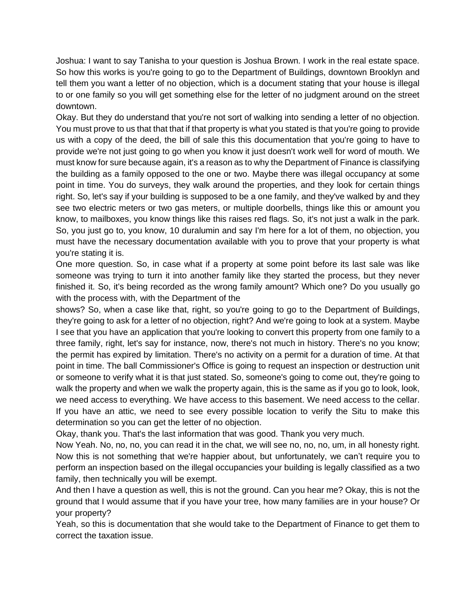Joshua: I want to say Tanisha to your question is Joshua Brown. I work in the real estate space. So how this works is you're going to go to the Department of Buildings, downtown Brooklyn and tell them you want a letter of no objection, which is a document stating that your house is illegal to or one family so you will get something else for the letter of no judgment around on the street downtown.

Okay. But they do understand that you're not sort of walking into sending a letter of no objection. You must prove to us that that that if that property is what you stated is that you're going to provide us with a copy of the deed, the bill of sale this this documentation that you're going to have to provide we're not just going to go when you know it just doesn't work well for word of mouth. We must know for sure because again, it's a reason as to why the Department of Finance is classifying the building as a family opposed to the one or two. Maybe there was illegal occupancy at some point in time. You do surveys, they walk around the properties, and they look for certain things right. So, let's say if your building is supposed to be a one family, and they've walked by and they see two electric meters or two gas meters, or multiple doorbells, things like this or amount you know, to mailboxes, you know things like this raises red flags. So, it's not just a walk in the park. So, you just go to, you know, 10 duralumin and say I'm here for a lot of them, no objection, you must have the necessary documentation available with you to prove that your property is what you're stating it is.

One more question. So, in case what if a property at some point before its last sale was like someone was trying to turn it into another family like they started the process, but they never finished it. So, it's being recorded as the wrong family amount? Which one? Do you usually go with the process with, with the Department of the

shows? So, when a case like that, right, so you're going to go to the Department of Buildings, they're going to ask for a letter of no objection, right? And we're going to look at a system. Maybe I see that you have an application that you're looking to convert this property from one family to a three family, right, let's say for instance, now, there's not much in history. There's no you know; the permit has expired by limitation. There's no activity on a permit for a duration of time. At that point in time. The ball Commissioner's Office is going to request an inspection or destruction unit or someone to verify what it is that just stated. So, someone's going to come out, they're going to walk the property and when we walk the property again, this is the same as if you go to look, look, we need access to everything. We have access to this basement. We need access to the cellar. If you have an attic, we need to see every possible location to verify the Situ to make this determination so you can get the letter of no objection.

Okay, thank you. That's the last information that was good. Thank you very much.

Now Yeah. No, no, no, you can read it in the chat, we will see no, no, no, um, in all honesty right. Now this is not something that we're happier about, but unfortunately, we can't require you to perform an inspection based on the illegal occupancies your building is legally classified as a two family, then technically you will be exempt.

And then I have a question as well, this is not the ground. Can you hear me? Okay, this is not the ground that I would assume that if you have your tree, how many families are in your house? Or your property?

Yeah, so this is documentation that she would take to the Department of Finance to get them to correct the taxation issue.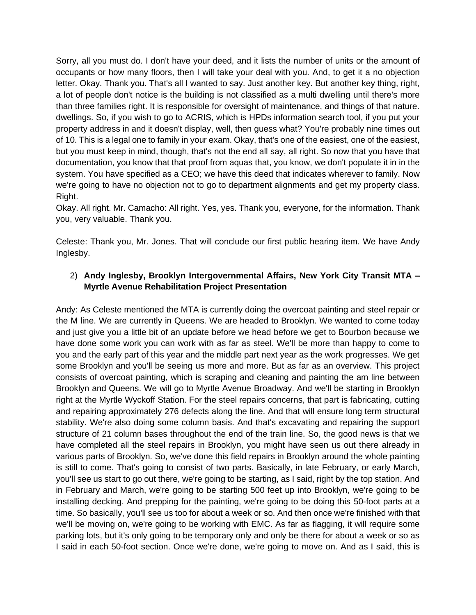Sorry, all you must do. I don't have your deed, and it lists the number of units or the amount of occupants or how many floors, then I will take your deal with you. And, to get it a no objection letter. Okay. Thank you. That's all I wanted to say. Just another key. But another key thing, right, a lot of people don't notice is the building is not classified as a multi dwelling until there's more than three families right. It is responsible for oversight of maintenance, and things of that nature. dwellings. So, if you wish to go to ACRIS, which is HPDs information search tool, if you put your property address in and it doesn't display, well, then guess what? You're probably nine times out of 10. This is a legal one to family in your exam. Okay, that's one of the easiest, one of the easiest, but you must keep in mind, though, that's not the end all say, all right. So now that you have that documentation, you know that that proof from aquas that, you know, we don't populate it in in the system. You have specified as a CEO; we have this deed that indicates wherever to family. Now we're going to have no objection not to go to department alignments and get my property class. Right.

Okay. All right. Mr. Camacho: All right. Yes, yes. Thank you, everyone, for the information. Thank you, very valuable. Thank you.

Celeste: Thank you, Mr. Jones. That will conclude our first public hearing item. We have Andy Inglesby.

# 2) **Andy Inglesby, Brooklyn Intergovernmental Affairs, New York City Transit MTA – Myrtle Avenue Rehabilitation Project Presentation**

Andy: As Celeste mentioned the MTA is currently doing the overcoat painting and steel repair or the M line. We are currently in Queens. We are headed to Brooklyn. We wanted to come today and just give you a little bit of an update before we head before we get to Bourbon because we have done some work you can work with as far as steel. We'll be more than happy to come to you and the early part of this year and the middle part next year as the work progresses. We get some Brooklyn and you'll be seeing us more and more. But as far as an overview. This project consists of overcoat painting, which is scraping and cleaning and painting the am line between Brooklyn and Queens. We will go to Myrtle Avenue Broadway. And we'll be starting in Brooklyn right at the Myrtle Wyckoff Station. For the steel repairs concerns, that part is fabricating, cutting and repairing approximately 276 defects along the line. And that will ensure long term structural stability. We're also doing some column basis. And that's excavating and repairing the support structure of 21 column bases throughout the end of the train line. So, the good news is that we have completed all the steel repairs in Brooklyn, you might have seen us out there already in various parts of Brooklyn. So, we've done this field repairs in Brooklyn around the whole painting is still to come. That's going to consist of two parts. Basically, in late February, or early March, you'll see us start to go out there, we're going to be starting, as I said, right by the top station. And in February and March, we're going to be starting 500 feet up into Brooklyn, we're going to be installing decking. And prepping for the painting, we're going to be doing this 50-foot parts at a time. So basically, you'll see us too for about a week or so. And then once we're finished with that we'll be moving on, we're going to be working with EMC. As far as flagging, it will require some parking lots, but it's only going to be temporary only and only be there for about a week or so as I said in each 50-foot section. Once we're done, we're going to move on. And as I said, this is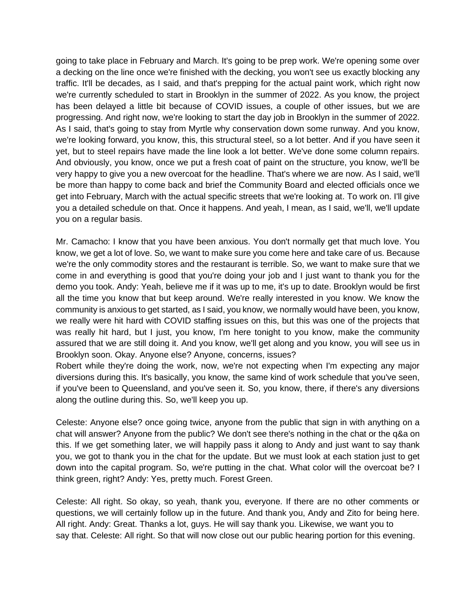going to take place in February and March. It's going to be prep work. We're opening some over a decking on the line once we're finished with the decking, you won't see us exactly blocking any traffic. It'll be decades, as I said, and that's prepping for the actual paint work, which right now we're currently scheduled to start in Brooklyn in the summer of 2022. As you know, the project has been delayed a little bit because of COVID issues, a couple of other issues, but we are progressing. And right now, we're looking to start the day job in Brooklyn in the summer of 2022. As I said, that's going to stay from Myrtle why conservation down some runway. And you know, we're looking forward, you know, this, this structural steel, so a lot better. And if you have seen it yet, but to steel repairs have made the line look a lot better. We've done some column repairs. And obviously, you know, once we put a fresh coat of paint on the structure, you know, we'll be very happy to give you a new overcoat for the headline. That's where we are now. As I said, we'll be more than happy to come back and brief the Community Board and elected officials once we get into February, March with the actual specific streets that we're looking at. To work on. I'll give you a detailed schedule on that. Once it happens. And yeah, I mean, as I said, we'll, we'll update you on a regular basis.

Mr. Camacho: I know that you have been anxious. You don't normally get that much love. You know, we get a lot of love. So, we want to make sure you come here and take care of us. Because we're the only commodity stores and the restaurant is terrible. So, we want to make sure that we come in and everything is good that you're doing your job and I just want to thank you for the demo you took. Andy: Yeah, believe me if it was up to me, it's up to date. Brooklyn would be first all the time you know that but keep around. We're really interested in you know. We know the community is anxious to get started, as I said, you know, we normally would have been, you know, we really were hit hard with COVID staffing issues on this, but this was one of the projects that was really hit hard, but I just, you know, I'm here tonight to you know, make the community assured that we are still doing it. And you know, we'll get along and you know, you will see us in Brooklyn soon. Okay. Anyone else? Anyone, concerns, issues?

Robert while they're doing the work, now, we're not expecting when I'm expecting any major diversions during this. It's basically, you know, the same kind of work schedule that you've seen, if you've been to Queensland, and you've seen it. So, you know, there, if there's any diversions along the outline during this. So, we'll keep you up.

Celeste: Anyone else? once going twice, anyone from the public that sign in with anything on a chat will answer? Anyone from the public? We don't see there's nothing in the chat or the q&a on this. If we get something later, we will happily pass it along to Andy and just want to say thank you, we got to thank you in the chat for the update. But we must look at each station just to get down into the capital program. So, we're putting in the chat. What color will the overcoat be? I think green, right? Andy: Yes, pretty much. Forest Green.

Celeste: All right. So okay, so yeah, thank you, everyone. If there are no other comments or questions, we will certainly follow up in the future. And thank you, Andy and Zito for being here. All right. Andy: Great. Thanks a lot, guys. He will say thank you. Likewise, we want you to say that. Celeste: All right. So that will now close out our public hearing portion for this evening.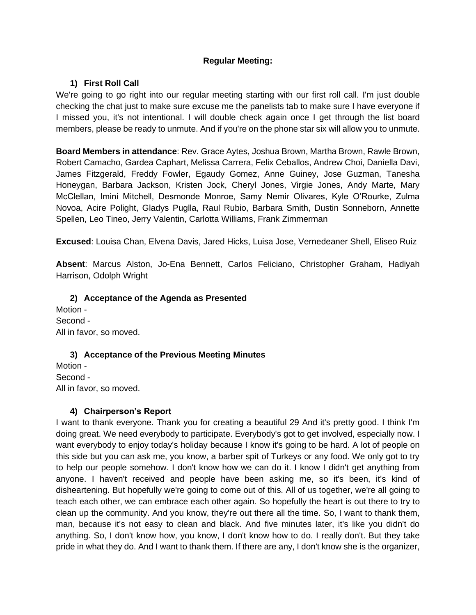## **Regular Meeting:**

## **1) First Roll Call**

We're going to go right into our regular meeting starting with our first roll call. I'm just double checking the chat just to make sure excuse me the panelists tab to make sure I have everyone if I missed you, it's not intentional. I will double check again once I get through the list board members, please be ready to unmute. And if you're on the phone star six will allow you to unmute.

**Board Members in attendance**: Rev. Grace Aytes, Joshua Brown, Martha Brown, Rawle Brown, Robert Camacho, Gardea Caphart, Melissa Carrera, Felix Ceballos, Andrew Choi, Daniella Davi, James Fitzgerald, Freddy Fowler, Egaudy Gomez, Anne Guiney, Jose Guzman, Tanesha Honeygan, Barbara Jackson, Kristen Jock, Cheryl Jones, Virgie Jones, Andy Marte, Mary McClellan, Imini Mitchell, Desmonde Monroe, Samy Nemir Olivares, Kyle O'Rourke, Zulma Novoa, Acire Polight, Gladys Puglla, Raul Rubio, Barbara Smith, Dustin Sonneborn, Annette Spellen, Leo Tineo, Jerry Valentin, Carlotta Williams, Frank Zimmerman

**Excused**: Louisa Chan, Elvena Davis, Jared Hicks, Luisa Jose, Vernedeaner Shell, Eliseo Ruiz

**Absent**: Marcus Alston, Jo-Ena Bennett, Carlos Feliciano, Christopher Graham, Hadiyah Harrison, Odolph Wright

**2) Acceptance of the Agenda as Presented** Motion - Second - All in favor, so moved.

### **3) Acceptance of the Previous Meeting Minutes**

Motion - Second - All in favor, so moved.

### **4) Chairperson's Report**

I want to thank everyone. Thank you for creating a beautiful 29 And it's pretty good. I think I'm doing great. We need everybody to participate. Everybody's got to get involved, especially now. I want everybody to enjoy today's holiday because I know it's going to be hard. A lot of people on this side but you can ask me, you know, a barber spit of Turkeys or any food. We only got to try to help our people somehow. I don't know how we can do it. I know I didn't get anything from anyone. I haven't received and people have been asking me, so it's been, it's kind of disheartening. But hopefully we're going to come out of this. All of us together, we're all going to teach each other, we can embrace each other again. So hopefully the heart is out there to try to clean up the community. And you know, they're out there all the time. So, I want to thank them, man, because it's not easy to clean and black. And five minutes later, it's like you didn't do anything. So, I don't know how, you know, I don't know how to do. I really don't. But they take pride in what they do. And I want to thank them. If there are any, I don't know she is the organizer,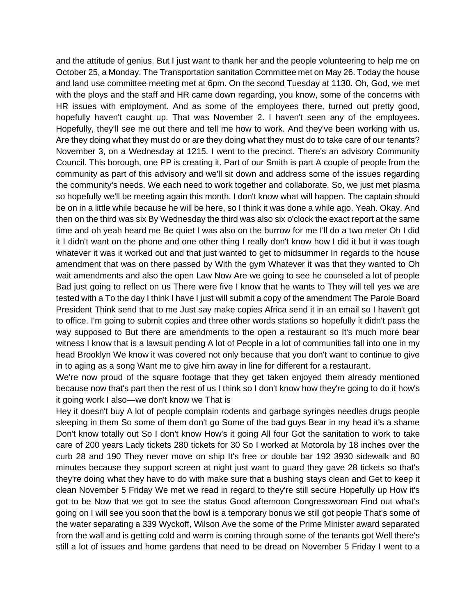and the attitude of genius. But I just want to thank her and the people volunteering to help me on October 25, a Monday. The Transportation sanitation Committee met on May 26. Today the house and land use committee meeting met at 6pm. On the second Tuesday at 1130. Oh, God, we met with the ploys and the staff and HR came down regarding, you know, some of the concerns with HR issues with employment. And as some of the employees there, turned out pretty good, hopefully haven't caught up. That was November 2. I haven't seen any of the employees. Hopefully, they'll see me out there and tell me how to work. And they've been working with us. Are they doing what they must do or are they doing what they must do to take care of our tenants? November 3, on a Wednesday at 1215. I went to the precinct. There's an advisory Community Council. This borough, one PP is creating it. Part of our Smith is part A couple of people from the community as part of this advisory and we'll sit down and address some of the issues regarding the community's needs. We each need to work together and collaborate. So, we just met plasma so hopefully we'll be meeting again this month. I don't know what will happen. The captain should be on in a little while because he will be here, so I think it was done a while ago. Yeah. Okay. And then on the third was six By Wednesday the third was also six o'clock the exact report at the same time and oh yeah heard me Be quiet I was also on the burrow for me I'll do a two meter Oh I did it I didn't want on the phone and one other thing I really don't know how I did it but it was tough whatever it was it worked out and that just wanted to get to midsummer In regards to the house amendment that was on there passed by With the gym Whatever it was that they wanted to Oh wait amendments and also the open Law Now Are we going to see he counseled a lot of people Bad just going to reflect on us There were five I know that he wants to They will tell yes we are tested with a To the day I think I have I just will submit a copy of the amendment The Parole Board President Think send that to me Just say make copies Africa send it in an email so I haven't got to office. I'm going to submit copies and three other words stations so hopefully it didn't pass the way supposed to But there are amendments to the open a restaurant so It's much more bear witness I know that is a lawsuit pending A lot of People in a lot of communities fall into one in my head Brooklyn We know it was covered not only because that you don't want to continue to give in to aging as a song Want me to give him away in line for different for a restaurant.

We're now proud of the square footage that they get taken enjoyed them already mentioned because now that's part then the rest of us I think so I don't know how they're going to do it how's it going work I also—we don't know we That is

Hey it doesn't buy A lot of people complain rodents and garbage syringes needles drugs people sleeping in them So some of them don't go Some of the bad guys Bear in my head it's a shame Don't know totally out So I don't know How's it going All four Got the sanitation to work to take care of 200 years Lady tickets 280 tickets for 30 So I worked at Motorola by 18 inches over the curb 28 and 190 They never move on ship It's free or double bar 192 3930 sidewalk and 80 minutes because they support screen at night just want to guard they gave 28 tickets so that's they're doing what they have to do with make sure that a bushing stays clean and Get to keep it clean November 5 Friday We met we read in regard to they're still secure Hopefully up How it's got to be Now that we got to see the status Good afternoon Congresswoman Find out what's going on I will see you soon that the bowl is a temporary bonus we still got people That's some of the water separating a 339 Wyckoff, Wilson Ave the some of the Prime Minister award separated from the wall and is getting cold and warm is coming through some of the tenants got Well there's still a lot of issues and home gardens that need to be dread on November 5 Friday I went to a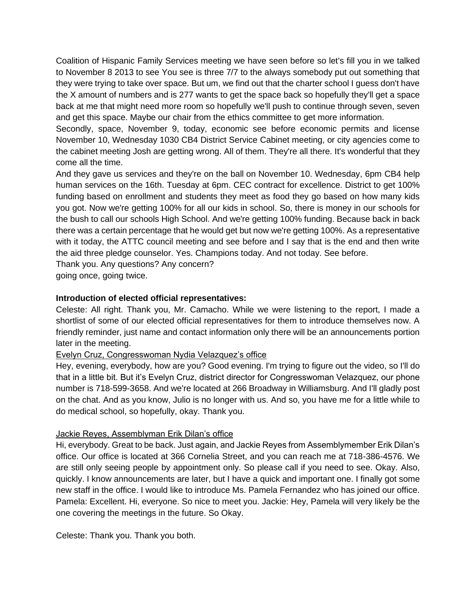Coalition of Hispanic Family Services meeting we have seen before so let's fill you in we talked to November 8 2013 to see You see is three 7/7 to the always somebody put out something that they were trying to take over space. But um, we find out that the charter school I guess don't have the X amount of numbers and is 277 wants to get the space back so hopefully they'll get a space back at me that might need more room so hopefully we'll push to continue through seven, seven and get this space. Maybe our chair from the ethics committee to get more information.

Secondly, space, November 9, today, economic see before economic permits and license November 10, Wednesday 1030 CB4 District Service Cabinet meeting, or city agencies come to the cabinet meeting Josh are getting wrong. All of them. They're all there. It's wonderful that they come all the time.

And they gave us services and they're on the ball on November 10. Wednesday, 6pm CB4 help human services on the 16th. Tuesday at 6pm. CEC contract for excellence. District to get 100% funding based on enrollment and students they meet as food they go based on how many kids you got. Now we're getting 100% for all our kids in school. So, there is money in our schools for the bush to call our schools High School. And we're getting 100% funding. Because back in back there was a certain percentage that he would get but now we're getting 100%. As a representative with it today, the ATTC council meeting and see before and I say that is the end and then write the aid three pledge counselor. Yes. Champions today. And not today. See before.

Thank you. Any questions? Any concern?

going once, going twice.

# **Introduction of elected official representatives:**

Celeste: All right. Thank you, Mr. Camacho. While we were listening to the report, I made a shortlist of some of our elected official representatives for them to introduce themselves now. A friendly reminder, just name and contact information only there will be an announcements portion later in the meeting.

Evelyn Cruz, Congresswoman Nydia Velazquez's office

Hey, evening, everybody, how are you? Good evening. I'm trying to figure out the video, so I'll do that in a little bit. But it's Evelyn Cruz, district director for Congresswoman Velazquez, our phone number is 718-599-3658. And we're located at 266 Broadway in Williamsburg. And I'll gladly post on the chat. And as you know, Julio is no longer with us. And so, you have me for a little while to do medical school, so hopefully, okay. Thank you.

### Jackie Reyes, Assemblyman Erik Dilan's office

Hi, everybody. Great to be back. Just again, and Jackie Reyes from Assemblymember Erik Dilan's office. Our office is located at 366 Cornelia Street, and you can reach me at 718-386-4576. We are still only seeing people by appointment only. So please call if you need to see. Okay. Also, quickly. I know announcements are later, but I have a quick and important one. I finally got some new staff in the office. I would like to introduce Ms. Pamela Fernandez who has joined our office. Pamela: Excellent. Hi, everyone. So nice to meet you. Jackie: Hey, Pamela will very likely be the one covering the meetings in the future. So Okay.

Celeste: Thank you. Thank you both.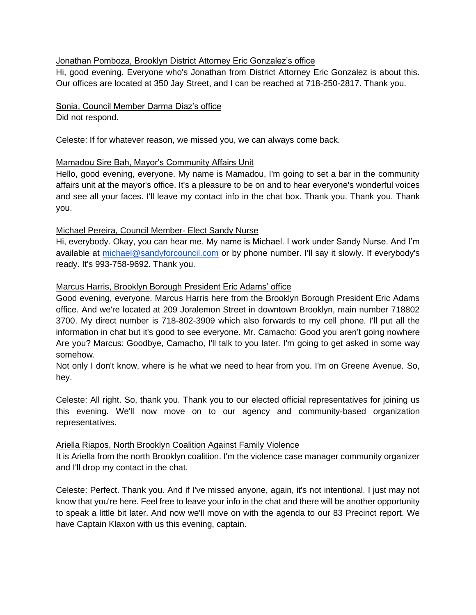### Jonathan Pomboza, Brooklyn District Attorney Eric Gonzalez's office

Hi, good evening. Everyone who's Jonathan from District Attorney Eric Gonzalez is about this. Our offices are located at 350 Jay Street, and I can be reached at 718-250-2817. Thank you.

# Sonia, Council Member Darma Diaz's office

Did not respond.

Celeste: If for whatever reason, we missed you, we can always come back.

## Mamadou Sire Bah, Mayor's Community Affairs Unit

Hello, good evening, everyone. My name is Mamadou, I'm going to set a bar in the community affairs unit at the mayor's office. It's a pleasure to be on and to hear everyone's wonderful voices and see all your faces. I'll leave my contact info in the chat box. Thank you. Thank you. Thank you.

## Michael Pereira, Council Member- Elect Sandy Nurse

Hi, everybody. Okay, you can hear me. My name is Michael. I work under Sandy Nurse. And I'm available at [michael@sandyforcouncil.com](mailto:michael@sandyforcouncil.com) or by phone number. I'll say it slowly. If everybody's ready. It's 993-758-9692. Thank you.

### Marcus Harris, Brooklyn Borough President Eric Adams' office

Good evening, everyone. Marcus Harris here from the Brooklyn Borough President Eric Adams office. And we're located at 209 Joralemon Street in downtown Brooklyn, main number 718802 3700. My direct number is 718-802-3909 which also forwards to my cell phone. I'll put all the information in chat but it's good to see everyone. Mr. Camacho: Good you aren't going nowhere Are you? Marcus: Goodbye, Camacho, I'll talk to you later. I'm going to get asked in some way somehow.

Not only I don't know, where is he what we need to hear from you. I'm on Greene Avenue. So, hey.

Celeste: All right. So, thank you. Thank you to our elected official representatives for joining us this evening. We'll now move on to our agency and community-based organization representatives.

### Ariella Riapos, North Brooklyn Coalition Against Family Violence

It is Ariella from the north Brooklyn coalition. I'm the violence case manager community organizer and I'll drop my contact in the chat.

Celeste: Perfect. Thank you. And if I've missed anyone, again, it's not intentional. I just may not know that you're here. Feel free to leave your info in the chat and there will be another opportunity to speak a little bit later. And now we'll move on with the agenda to our 83 Precinct report. We have Captain Klaxon with us this evening, captain.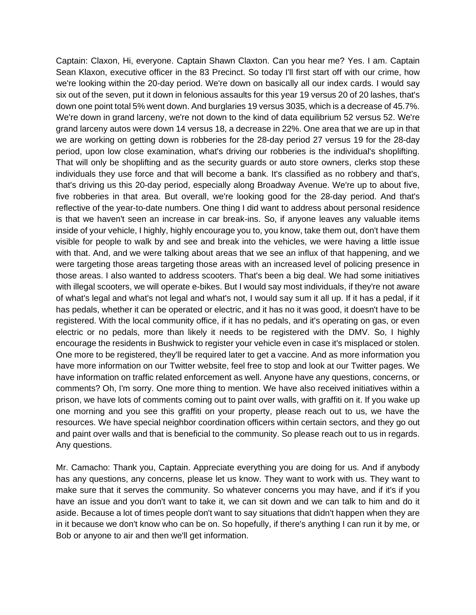Captain: Claxon, Hi, everyone. Captain Shawn Claxton. Can you hear me? Yes. I am. Captain Sean Klaxon, executive officer in the 83 Precinct. So today I'll first start off with our crime, how we're looking within the 20-day period. We're down on basically all our index cards. I would say six out of the seven, put it down in felonious assaults for this year 19 versus 20 of 20 lashes, that's down one point total 5% went down. And burglaries 19 versus 3035, which is a decrease of 45.7%. We're down in grand larceny, we're not down to the kind of data equilibrium 52 versus 52. We're grand larceny autos were down 14 versus 18, a decrease in 22%. One area that we are up in that we are working on getting down is robberies for the 28-day period 27 versus 19 for the 28-day period, upon low close examination, what's driving our robberies is the individual's shoplifting. That will only be shoplifting and as the security guards or auto store owners, clerks stop these individuals they use force and that will become a bank. It's classified as no robbery and that's, that's driving us this 20-day period, especially along Broadway Avenue. We're up to about five, five robberies in that area. But overall, we're looking good for the 28-day period. And that's reflective of the year-to-date numbers. One thing I did want to address about personal residence is that we haven't seen an increase in car break-ins. So, if anyone leaves any valuable items inside of your vehicle, I highly, highly encourage you to, you know, take them out, don't have them visible for people to walk by and see and break into the vehicles, we were having a little issue with that. And, and we were talking about areas that we see an influx of that happening, and we were targeting those areas targeting those areas with an increased level of policing presence in those areas. I also wanted to address scooters. That's been a big deal. We had some initiatives with illegal scooters, we will operate e-bikes. But I would say most individuals, if they're not aware of what's legal and what's not legal and what's not, I would say sum it all up. If it has a pedal, if it has pedals, whether it can be operated or electric, and it has no it was good, it doesn't have to be registered. With the local community office, if it has no pedals, and it's operating on gas, or even electric or no pedals, more than likely it needs to be registered with the DMV. So, I highly encourage the residents in Bushwick to register your vehicle even in case it's misplaced or stolen. One more to be registered, they'll be required later to get a vaccine. And as more information you have more information on our Twitter website, feel free to stop and look at our Twitter pages. We have information on traffic related enforcement as well. Anyone have any questions, concerns, or comments? Oh, I'm sorry. One more thing to mention. We have also received initiatives within a prison, we have lots of comments coming out to paint over walls, with graffiti on it. If you wake up one morning and you see this graffiti on your property, please reach out to us, we have the resources. We have special neighbor coordination officers within certain sectors, and they go out and paint over walls and that is beneficial to the community. So please reach out to us in regards. Any questions.

Mr. Camacho: Thank you, Captain. Appreciate everything you are doing for us. And if anybody has any questions, any concerns, please let us know. They want to work with us. They want to make sure that it serves the community. So whatever concerns you may have, and if it's if you have an issue and you don't want to take it, we can sit down and we can talk to him and do it aside. Because a lot of times people don't want to say situations that didn't happen when they are in it because we don't know who can be on. So hopefully, if there's anything I can run it by me, or Bob or anyone to air and then we'll get information.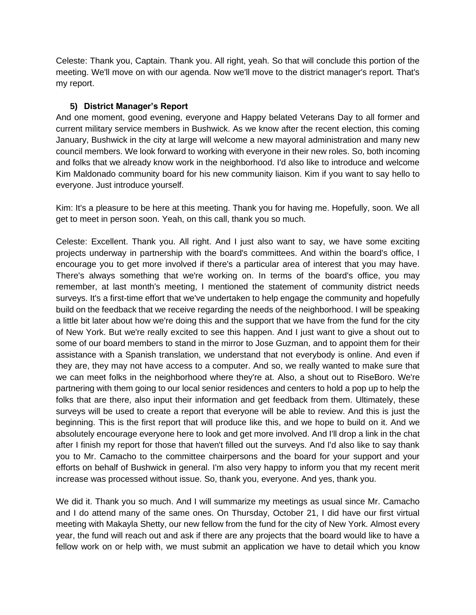Celeste: Thank you, Captain. Thank you. All right, yeah. So that will conclude this portion of the meeting. We'll move on with our agenda. Now we'll move to the district manager's report. That's my report.

# **5) District Manager's Report**

And one moment, good evening, everyone and Happy belated Veterans Day to all former and current military service members in Bushwick. As we know after the recent election, this coming January, Bushwick in the city at large will welcome a new mayoral administration and many new council members. We look forward to working with everyone in their new roles. So, both incoming and folks that we already know work in the neighborhood. I'd also like to introduce and welcome Kim Maldonado community board for his new community liaison. Kim if you want to say hello to everyone. Just introduce yourself.

Kim: It's a pleasure to be here at this meeting. Thank you for having me. Hopefully, soon. We all get to meet in person soon. Yeah, on this call, thank you so much.

Celeste: Excellent. Thank you. All right. And I just also want to say, we have some exciting projects underway in partnership with the board's committees. And within the board's office, I encourage you to get more involved if there's a particular area of interest that you may have. There's always something that we're working on. In terms of the board's office, you may remember, at last month's meeting, I mentioned the statement of community district needs surveys. It's a first-time effort that we've undertaken to help engage the community and hopefully build on the feedback that we receive regarding the needs of the neighborhood. I will be speaking a little bit later about how we're doing this and the support that we have from the fund for the city of New York. But we're really excited to see this happen. And I just want to give a shout out to some of our board members to stand in the mirror to Jose Guzman, and to appoint them for their assistance with a Spanish translation, we understand that not everybody is online. And even if they are, they may not have access to a computer. And so, we really wanted to make sure that we can meet folks in the neighborhood where they're at. Also, a shout out to RiseBoro. We're partnering with them going to our local senior residences and centers to hold a pop up to help the folks that are there, also input their information and get feedback from them. Ultimately, these surveys will be used to create a report that everyone will be able to review. And this is just the beginning. This is the first report that will produce like this, and we hope to build on it. And we absolutely encourage everyone here to look and get more involved. And I'll drop a link in the chat after I finish my report for those that haven't filled out the surveys. And I'd also like to say thank you to Mr. Camacho to the committee chairpersons and the board for your support and your efforts on behalf of Bushwick in general. I'm also very happy to inform you that my recent merit increase was processed without issue. So, thank you, everyone. And yes, thank you.

We did it. Thank you so much. And I will summarize my meetings as usual since Mr. Camacho and I do attend many of the same ones. On Thursday, October 21, I did have our first virtual meeting with Makayla Shetty, our new fellow from the fund for the city of New York. Almost every year, the fund will reach out and ask if there are any projects that the board would like to have a fellow work on or help with, we must submit an application we have to detail which you know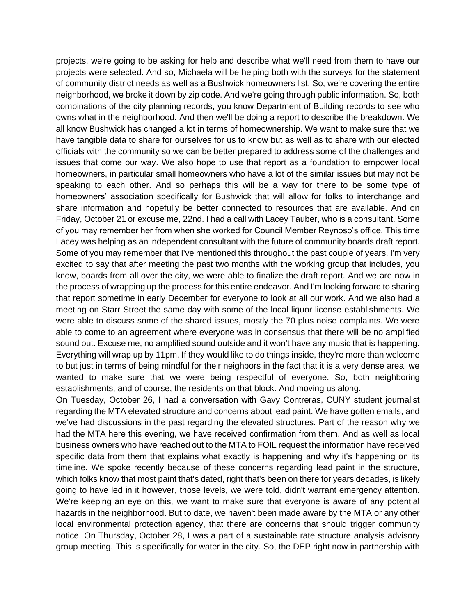projects, we're going to be asking for help and describe what we'll need from them to have our projects were selected. And so, Michaela will be helping both with the surveys for the statement of community district needs as well as a Bushwick homeowners list. So, we're covering the entire neighborhood, we broke it down by zip code. And we're going through public information. So, both combinations of the city planning records, you know Department of Building records to see who owns what in the neighborhood. And then we'll be doing a report to describe the breakdown. We all know Bushwick has changed a lot in terms of homeownership. We want to make sure that we have tangible data to share for ourselves for us to know but as well as to share with our elected officials with the community so we can be better prepared to address some of the challenges and issues that come our way. We also hope to use that report as a foundation to empower local homeowners, in particular small homeowners who have a lot of the similar issues but may not be speaking to each other. And so perhaps this will be a way for there to be some type of homeowners' association specifically for Bushwick that will allow for folks to interchange and share information and hopefully be better connected to resources that are available. And on Friday, October 21 or excuse me, 22nd. I had a call with Lacey Tauber, who is a consultant. Some of you may remember her from when she worked for Council Member Reynoso's office. This time Lacey was helping as an independent consultant with the future of community boards draft report. Some of you may remember that I've mentioned this throughout the past couple of years. I'm very excited to say that after meeting the past two months with the working group that includes, you know, boards from all over the city, we were able to finalize the draft report. And we are now in the process of wrapping up the process for this entire endeavor. And I'm looking forward to sharing that report sometime in early December for everyone to look at all our work. And we also had a meeting on Starr Street the same day with some of the local liquor license establishments. We were able to discuss some of the shared issues, mostly the 70 plus noise complaints. We were able to come to an agreement where everyone was in consensus that there will be no amplified sound out. Excuse me, no amplified sound outside and it won't have any music that is happening. Everything will wrap up by 11pm. If they would like to do things inside, they're more than welcome to but just in terms of being mindful for their neighbors in the fact that it is a very dense area, we wanted to make sure that we were being respectful of everyone. So, both neighboring establishments, and of course, the residents on that block. And moving us along.

On Tuesday, October 26, I had a conversation with Gavy Contreras, CUNY student journalist regarding the MTA elevated structure and concerns about lead paint. We have gotten emails, and we've had discussions in the past regarding the elevated structures. Part of the reason why we had the MTA here this evening, we have received confirmation from them. And as well as local business owners who have reached out to the MTA to FOIL request the information have received specific data from them that explains what exactly is happening and why it's happening on its timeline. We spoke recently because of these concerns regarding lead paint in the structure, which folks know that most paint that's dated, right that's been on there for years decades, is likely going to have led in it however, those levels, we were told, didn't warrant emergency attention. We're keeping an eye on this, we want to make sure that everyone is aware of any potential hazards in the neighborhood. But to date, we haven't been made aware by the MTA or any other local environmental protection agency, that there are concerns that should trigger community notice. On Thursday, October 28, I was a part of a sustainable rate structure analysis advisory group meeting. This is specifically for water in the city. So, the DEP right now in partnership with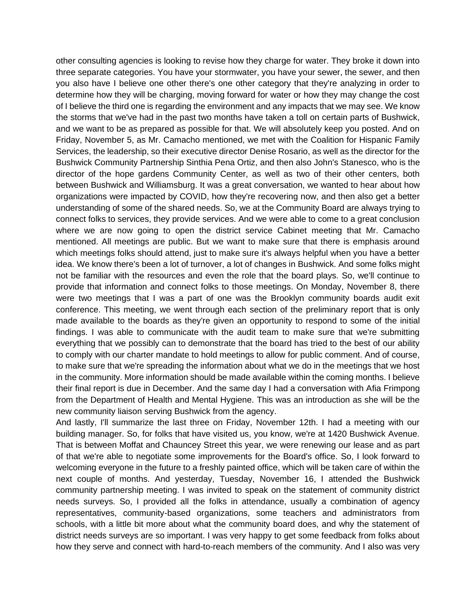other consulting agencies is looking to revise how they charge for water. They broke it down into three separate categories. You have your stormwater, you have your sewer, the sewer, and then you also have I believe one other there's one other category that they're analyzing in order to determine how they will be charging, moving forward for water or how they may change the cost of I believe the third one is regarding the environment and any impacts that we may see. We know the storms that we've had in the past two months have taken a toll on certain parts of Bushwick, and we want to be as prepared as possible for that. We will absolutely keep you posted. And on Friday, November 5, as Mr. Camacho mentioned, we met with the Coalition for Hispanic Family Services, the leadership, so their executive director Denise Rosario, as well as the director for the Bushwick Community Partnership Sinthia Pena Ortiz, and then also John's Stanesco, who is the director of the hope gardens Community Center, as well as two of their other centers, both between Bushwick and Williamsburg. It was a great conversation, we wanted to hear about how organizations were impacted by COVID, how they're recovering now, and then also get a better understanding of some of the shared needs. So, we at the Community Board are always trying to connect folks to services, they provide services. And we were able to come to a great conclusion where we are now going to open the district service Cabinet meeting that Mr. Camacho mentioned. All meetings are public. But we want to make sure that there is emphasis around which meetings folks should attend, just to make sure it's always helpful when you have a better idea. We know there's been a lot of turnover, a lot of changes in Bushwick. And some folks might not be familiar with the resources and even the role that the board plays. So, we'll continue to provide that information and connect folks to those meetings. On Monday, November 8, there were two meetings that I was a part of one was the Brooklyn community boards audit exit conference. This meeting, we went through each section of the preliminary report that is only made available to the boards as they're given an opportunity to respond to some of the initial findings. I was able to communicate with the audit team to make sure that we're submitting everything that we possibly can to demonstrate that the board has tried to the best of our ability to comply with our charter mandate to hold meetings to allow for public comment. And of course, to make sure that we're spreading the information about what we do in the meetings that we host in the community. More information should be made available within the coming months. I believe their final report is due in December. And the same day I had a conversation with Afia Frimpong from the Department of Health and Mental Hygiene. This was an introduction as she will be the new community liaison serving Bushwick from the agency.

And lastly, I'll summarize the last three on Friday, November 12th. I had a meeting with our building manager. So, for folks that have visited us, you know, we're at 1420 Bushwick Avenue. That is between Moffat and Chauncey Street this year, we were renewing our lease and as part of that we're able to negotiate some improvements for the Board's office. So, I look forward to welcoming everyone in the future to a freshly painted office, which will be taken care of within the next couple of months. And yesterday, Tuesday, November 16, I attended the Bushwick community partnership meeting. I was invited to speak on the statement of community district needs surveys. So, I provided all the folks in attendance, usually a combination of agency representatives, community-based organizations, some teachers and administrators from schools, with a little bit more about what the community board does, and why the statement of district needs surveys are so important. I was very happy to get some feedback from folks about how they serve and connect with hard-to-reach members of the community. And I also was very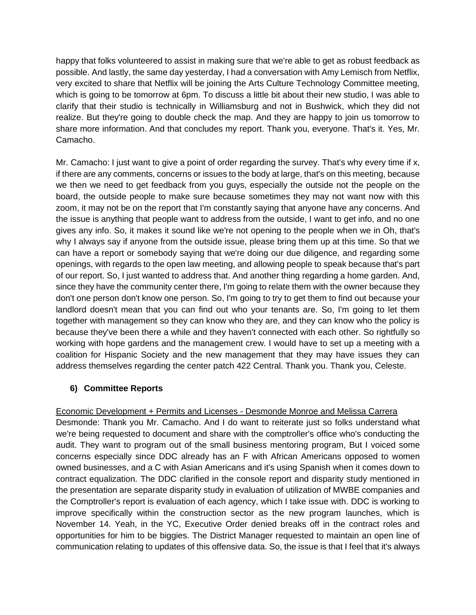happy that folks volunteered to assist in making sure that we're able to get as robust feedback as possible. And lastly, the same day yesterday, I had a conversation with Amy Lemisch from Netflix, very excited to share that Netflix will be joining the Arts Culture Technology Committee meeting, which is going to be tomorrow at 6pm. To discuss a little bit about their new studio, I was able to clarify that their studio is technically in Williamsburg and not in Bushwick, which they did not realize. But they're going to double check the map. And they are happy to join us tomorrow to share more information. And that concludes my report. Thank you, everyone. That's it. Yes, Mr. Camacho.

Mr. Camacho: I just want to give a point of order regarding the survey. That's why every time if x, if there are any comments, concerns or issues to the body at large, that's on this meeting, because we then we need to get feedback from you guys, especially the outside not the people on the board, the outside people to make sure because sometimes they may not want now with this zoom, it may not be on the report that I'm constantly saying that anyone have any concerns. And the issue is anything that people want to address from the outside, I want to get info, and no one gives any info. So, it makes it sound like we're not opening to the people when we in Oh, that's why I always say if anyone from the outside issue, please bring them up at this time. So that we can have a report or somebody saying that we're doing our due diligence, and regarding some openings, with regards to the open law meeting, and allowing people to speak because that's part of our report. So, I just wanted to address that. And another thing regarding a home garden. And, since they have the community center there, I'm going to relate them with the owner because they don't one person don't know one person. So, I'm going to try to get them to find out because your landlord doesn't mean that you can find out who your tenants are. So, I'm going to let them together with management so they can know who they are, and they can know who the policy is because they've been there a while and they haven't connected with each other. So rightfully so working with hope gardens and the management crew. I would have to set up a meeting with a coalition for Hispanic Society and the new management that they may have issues they can address themselves regarding the center patch 422 Central. Thank you. Thank you, Celeste.

# **6) Committee Reports**

Economic Development + Permits and Licenses - Desmonde Monroe and Melissa Carrera Desmonde: Thank you Mr. Camacho. And I do want to reiterate just so folks understand what we're being requested to document and share with the comptroller's office who's conducting the audit. They want to program out of the small business mentoring program, But I voiced some concerns especially since DDC already has an F with African Americans opposed to women owned businesses, and a C with Asian Americans and it's using Spanish when it comes down to contract equalization. The DDC clarified in the console report and disparity study mentioned in the presentation are separate disparity study in evaluation of utilization of MWBE companies and the Comptroller's report is evaluation of each agency, which I take issue with. DDC is working to improve specifically within the construction sector as the new program launches, which is November 14. Yeah, in the YC, Executive Order denied breaks off in the contract roles and opportunities for him to be biggies. The District Manager requested to maintain an open line of communication relating to updates of this offensive data. So, the issue is that I feel that it's always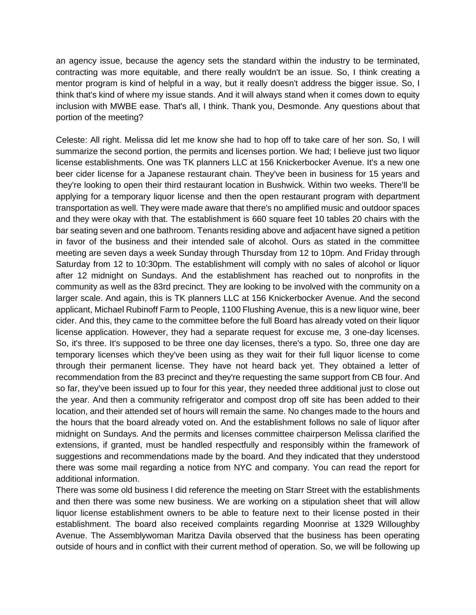an agency issue, because the agency sets the standard within the industry to be terminated, contracting was more equitable, and there really wouldn't be an issue. So, I think creating a mentor program is kind of helpful in a way, but it really doesn't address the bigger issue. So, I think that's kind of where my issue stands. And it will always stand when it comes down to equity inclusion with MWBE ease. That's all, I think. Thank you, Desmonde. Any questions about that portion of the meeting?

Celeste: All right. Melissa did let me know she had to hop off to take care of her son. So, I will summarize the second portion, the permits and licenses portion. We had; I believe just two liquor license establishments. One was TK planners LLC at 156 Knickerbocker Avenue. It's a new one beer cider license for a Japanese restaurant chain. They've been in business for 15 years and they're looking to open their third restaurant location in Bushwick. Within two weeks. There'll be applying for a temporary liquor license and then the open restaurant program with department transportation as well. They were made aware that there's no amplified music and outdoor spaces and they were okay with that. The establishment is 660 square feet 10 tables 20 chairs with the bar seating seven and one bathroom. Tenants residing above and adjacent have signed a petition in favor of the business and their intended sale of alcohol. Ours as stated in the committee meeting are seven days a week Sunday through Thursday from 12 to 10pm. And Friday through Saturday from 12 to 10:30pm. The establishment will comply with no sales of alcohol or liquor after 12 midnight on Sundays. And the establishment has reached out to nonprofits in the community as well as the 83rd precinct. They are looking to be involved with the community on a larger scale. And again, this is TK planners LLC at 156 Knickerbocker Avenue. And the second applicant, Michael Rubinoff Farm to People, 1100 Flushing Avenue, this is a new liquor wine, beer cider. And this, they came to the committee before the full Board has already voted on their liquor license application. However, they had a separate request for excuse me, 3 one-day licenses. So, it's three. It's supposed to be three one day licenses, there's a typo. So, three one day are temporary licenses which they've been using as they wait for their full liquor license to come through their permanent license. They have not heard back yet. They obtained a letter of recommendation from the 83 precinct and they're requesting the same support from CB four. And so far, they've been issued up to four for this year, they needed three additional just to close out the year. And then a community refrigerator and compost drop off site has been added to their location, and their attended set of hours will remain the same. No changes made to the hours and the hours that the board already voted on. And the establishment follows no sale of liquor after midnight on Sundays. And the permits and licenses committee chairperson Melissa clarified the extensions, if granted, must be handled respectfully and responsibly within the framework of suggestions and recommendations made by the board. And they indicated that they understood there was some mail regarding a notice from NYC and company. You can read the report for additional information.

There was some old business I did reference the meeting on Starr Street with the establishments and then there was some new business. We are working on a stipulation sheet that will allow liquor license establishment owners to be able to feature next to their license posted in their establishment. The board also received complaints regarding Moonrise at 1329 Willoughby Avenue. The Assemblywoman Maritza Davila observed that the business has been operating outside of hours and in conflict with their current method of operation. So, we will be following up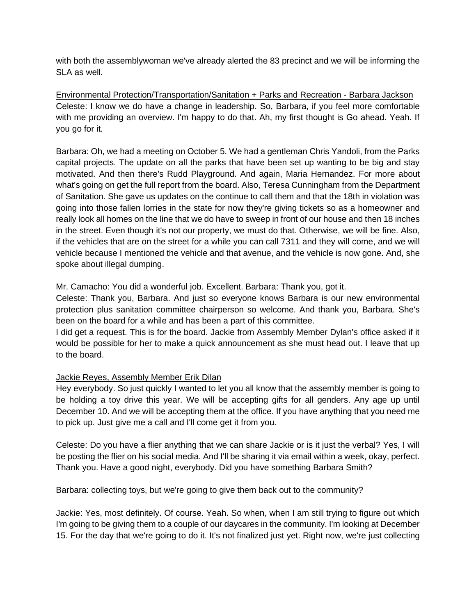with both the assemblywoman we've already alerted the 83 precinct and we will be informing the SLA as well.

Environmental Protection/Transportation/Sanitation + Parks and Recreation - Barbara Jackson Celeste: I know we do have a change in leadership. So, Barbara, if you feel more comfortable with me providing an overview. I'm happy to do that. Ah, my first thought is Go ahead. Yeah. If you go for it.

Barbara: Oh, we had a meeting on October 5. We had a gentleman Chris Yandoli, from the Parks capital projects. The update on all the parks that have been set up wanting to be big and stay motivated. And then there's Rudd Playground. And again, Maria Hernandez. For more about what's going on get the full report from the board. Also, Teresa Cunningham from the Department of Sanitation. She gave us updates on the continue to call them and that the 18th in violation was going into those fallen lorries in the state for now they're giving tickets so as a homeowner and really look all homes on the line that we do have to sweep in front of our house and then 18 inches in the street. Even though it's not our property, we must do that. Otherwise, we will be fine. Also, if the vehicles that are on the street for a while you can call 7311 and they will come, and we will vehicle because I mentioned the vehicle and that avenue, and the vehicle is now gone. And, she spoke about illegal dumping.

Mr. Camacho: You did a wonderful job. Excellent. Barbara: Thank you, got it.

Celeste: Thank you, Barbara. And just so everyone knows Barbara is our new environmental protection plus sanitation committee chairperson so welcome. And thank you, Barbara. She's been on the board for a while and has been a part of this committee.

I did get a request. This is for the board. Jackie from Assembly Member Dylan's office asked if it would be possible for her to make a quick announcement as she must head out. I leave that up to the board.

### Jackie Reyes, Assembly Member Erik Dilan

Hey everybody. So just quickly I wanted to let you all know that the assembly member is going to be holding a toy drive this year. We will be accepting gifts for all genders. Any age up until December 10. And we will be accepting them at the office. If you have anything that you need me to pick up. Just give me a call and I'll come get it from you.

Celeste: Do you have a flier anything that we can share Jackie or is it just the verbal? Yes, I will be posting the flier on his social media. And I'll be sharing it via email within a week, okay, perfect. Thank you. Have a good night, everybody. Did you have something Barbara Smith?

Barbara: collecting toys, but we're going to give them back out to the community?

Jackie: Yes, most definitely. Of course. Yeah. So when, when I am still trying to figure out which I'm going to be giving them to a couple of our daycares in the community. I'm looking at December 15. For the day that we're going to do it. It's not finalized just yet. Right now, we're just collecting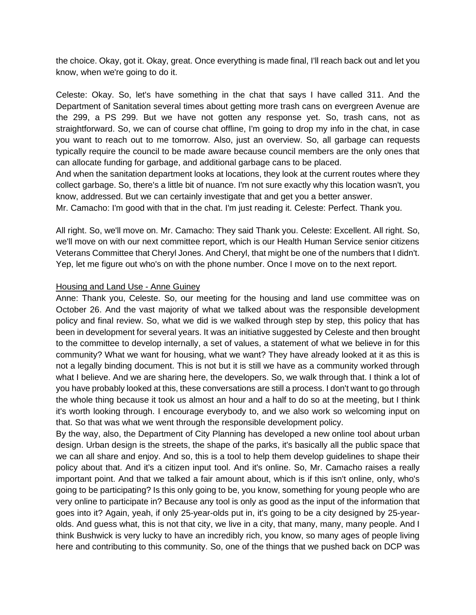the choice. Okay, got it. Okay, great. Once everything is made final, I'll reach back out and let you know, when we're going to do it.

Celeste: Okay. So, let's have something in the chat that says I have called 311. And the Department of Sanitation several times about getting more trash cans on evergreen Avenue are the 299, a PS 299. But we have not gotten any response yet. So, trash cans, not as straightforward. So, we can of course chat offline, I'm going to drop my info in the chat, in case you want to reach out to me tomorrow. Also, just an overview. So, all garbage can requests typically require the council to be made aware because council members are the only ones that can allocate funding for garbage, and additional garbage cans to be placed.

And when the sanitation department looks at locations, they look at the current routes where they collect garbage. So, there's a little bit of nuance. I'm not sure exactly why this location wasn't, you know, addressed. But we can certainly investigate that and get you a better answer.

Mr. Camacho: I'm good with that in the chat. I'm just reading it. Celeste: Perfect. Thank you.

All right. So, we'll move on. Mr. Camacho: They said Thank you. Celeste: Excellent. All right. So, we'll move on with our next committee report, which is our Health Human Service senior citizens Veterans Committee that Cheryl Jones. And Cheryl, that might be one of the numbers that I didn't. Yep, let me figure out who's on with the phone number. Once I move on to the next report.

#### Housing and Land Use - Anne Guiney

Anne: Thank you, Celeste. So, our meeting for the housing and land use committee was on October 26. And the vast majority of what we talked about was the responsible development policy and final review. So, what we did is we walked through step by step, this policy that has been in development for several years. It was an initiative suggested by Celeste and then brought to the committee to develop internally, a set of values, a statement of what we believe in for this community? What we want for housing, what we want? They have already looked at it as this is not a legally binding document. This is not but it is still we have as a community worked through what I believe. And we are sharing here, the developers. So, we walk through that. I think a lot of you have probably looked at this, these conversations are still a process. I don't want to go through the whole thing because it took us almost an hour and a half to do so at the meeting, but I think it's worth looking through. I encourage everybody to, and we also work so welcoming input on that. So that was what we went through the responsible development policy.

By the way, also, the Department of City Planning has developed a new online tool about urban design. Urban design is the streets, the shape of the parks, it's basically all the public space that we can all share and enjoy. And so, this is a tool to help them develop guidelines to shape their policy about that. And it's a citizen input tool. And it's online. So, Mr. Camacho raises a really important point. And that we talked a fair amount about, which is if this isn't online, only, who's going to be participating? Is this only going to be, you know, something for young people who are very online to participate in? Because any tool is only as good as the input of the information that goes into it? Again, yeah, if only 25-year-olds put in, it's going to be a city designed by 25-yearolds. And guess what, this is not that city, we live in a city, that many, many, many people. And I think Bushwick is very lucky to have an incredibly rich, you know, so many ages of people living here and contributing to this community. So, one of the things that we pushed back on DCP was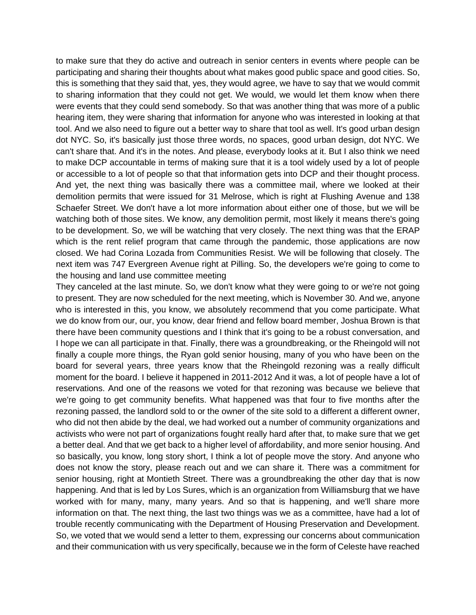to make sure that they do active and outreach in senior centers in events where people can be participating and sharing their thoughts about what makes good public space and good cities. So, this is something that they said that, yes, they would agree, we have to say that we would commit to sharing information that they could not get. We would, we would let them know when there were events that they could send somebody. So that was another thing that was more of a public hearing item, they were sharing that information for anyone who was interested in looking at that tool. And we also need to figure out a better way to share that tool as well. It's good urban design dot NYC. So, it's basically just those three words, no spaces, good urban design, dot NYC. We can't share that. And it's in the notes. And please, everybody looks at it. But I also think we need to make DCP accountable in terms of making sure that it is a tool widely used by a lot of people or accessible to a lot of people so that that information gets into DCP and their thought process. And yet, the next thing was basically there was a committee mail, where we looked at their demolition permits that were issued for 31 Melrose, which is right at Flushing Avenue and 138 Schaefer Street. We don't have a lot more information about either one of those, but we will be watching both of those sites. We know, any demolition permit, most likely it means there's going to be development. So, we will be watching that very closely. The next thing was that the ERAP which is the rent relief program that came through the pandemic, those applications are now closed. We had Corina Lozada from Communities Resist. We will be following that closely. The next item was 747 Evergreen Avenue right at Pilling. So, the developers we're going to come to the housing and land use committee meeting

They canceled at the last minute. So, we don't know what they were going to or we're not going to present. They are now scheduled for the next meeting, which is November 30. And we, anyone who is interested in this, you know, we absolutely recommend that you come participate. What we do know from our, our, you know, dear friend and fellow board member, Joshua Brown is that there have been community questions and I think that it's going to be a robust conversation, and I hope we can all participate in that. Finally, there was a groundbreaking, or the Rheingold will not finally a couple more things, the Ryan gold senior housing, many of you who have been on the board for several years, three years know that the Rheingold rezoning was a really difficult moment for the board. I believe it happened in 2011-2012 And it was, a lot of people have a lot of reservations. And one of the reasons we voted for that rezoning was because we believe that we're going to get community benefits. What happened was that four to five months after the rezoning passed, the landlord sold to or the owner of the site sold to a different a different owner, who did not then abide by the deal, we had worked out a number of community organizations and activists who were not part of organizations fought really hard after that, to make sure that we get a better deal. And that we get back to a higher level of affordability, and more senior housing. And so basically, you know, long story short, I think a lot of people move the story. And anyone who does not know the story, please reach out and we can share it. There was a commitment for senior housing, right at Montieth Street. There was a groundbreaking the other day that is now happening. And that is led by Los Sures, which is an organization from Williamsburg that we have worked with for many, many, many years. And so that is happening, and we'll share more information on that. The next thing, the last two things was we as a committee, have had a lot of trouble recently communicating with the Department of Housing Preservation and Development. So, we voted that we would send a letter to them, expressing our concerns about communication and their communication with us very specifically, because we in the form of Celeste have reached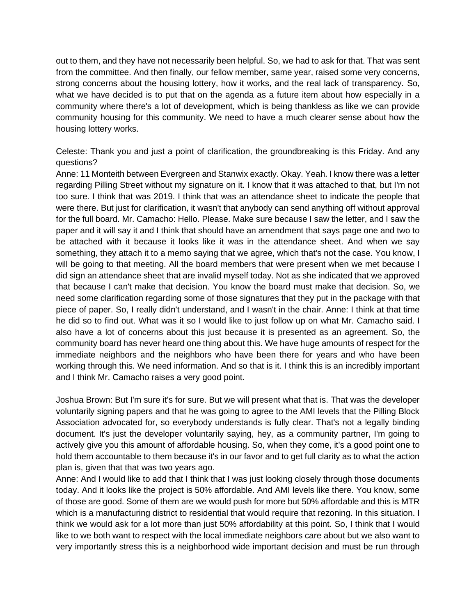out to them, and they have not necessarily been helpful. So, we had to ask for that. That was sent from the committee. And then finally, our fellow member, same year, raised some very concerns, strong concerns about the housing lottery, how it works, and the real lack of transparency. So, what we have decided is to put that on the agenda as a future item about how especially in a community where there's a lot of development, which is being thankless as like we can provide community housing for this community. We need to have a much clearer sense about how the housing lottery works.

Celeste: Thank you and just a point of clarification, the groundbreaking is this Friday. And any questions?

Anne: 11 Monteith between Evergreen and Stanwix exactly. Okay. Yeah. I know there was a letter regarding Pilling Street without my signature on it. I know that it was attached to that, but I'm not too sure. I think that was 2019. I think that was an attendance sheet to indicate the people that were there. But just for clarification, it wasn't that anybody can send anything off without approval for the full board. Mr. Camacho: Hello. Please. Make sure because I saw the letter, and I saw the paper and it will say it and I think that should have an amendment that says page one and two to be attached with it because it looks like it was in the attendance sheet. And when we say something, they attach it to a memo saying that we agree, which that's not the case. You know, I will be going to that meeting. All the board members that were present when we met because I did sign an attendance sheet that are invalid myself today. Not as she indicated that we approved that because I can't make that decision. You know the board must make that decision. So, we need some clarification regarding some of those signatures that they put in the package with that piece of paper. So, I really didn't understand, and I wasn't in the chair. Anne: I think at that time he did so to find out. What was it so I would like to just follow up on what Mr. Camacho said. I also have a lot of concerns about this just because it is presented as an agreement. So, the community board has never heard one thing about this. We have huge amounts of respect for the immediate neighbors and the neighbors who have been there for years and who have been working through this. We need information. And so that is it. I think this is an incredibly important and I think Mr. Camacho raises a very good point.

Joshua Brown: But I'm sure it's for sure. But we will present what that is. That was the developer voluntarily signing papers and that he was going to agree to the AMI levels that the Pilling Block Association advocated for, so everybody understands is fully clear. That's not a legally binding document. It's just the developer voluntarily saying, hey, as a community partner, I'm going to actively give you this amount of affordable housing. So, when they come, it's a good point one to hold them accountable to them because it's in our favor and to get full clarity as to what the action plan is, given that that was two years ago.

Anne: And I would like to add that I think that I was just looking closely through those documents today. And it looks like the project is 50% affordable. And AMI levels like there. You know, some of those are good. Some of them are we would push for more but 50% affordable and this is MTR which is a manufacturing district to residential that would require that rezoning. In this situation. I think we would ask for a lot more than just 50% affordability at this point. So, I think that I would like to we both want to respect with the local immediate neighbors care about but we also want to very importantly stress this is a neighborhood wide important decision and must be run through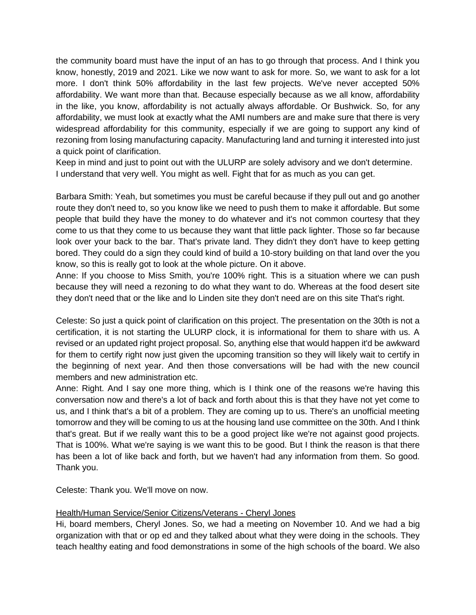the community board must have the input of an has to go through that process. And I think you know, honestly, 2019 and 2021. Like we now want to ask for more. So, we want to ask for a lot more. I don't think 50% affordability in the last few projects. We've never accepted 50% affordability. We want more than that. Because especially because as we all know, affordability in the like, you know, affordability is not actually always affordable. Or Bushwick. So, for any affordability, we must look at exactly what the AMI numbers are and make sure that there is very widespread affordability for this community, especially if we are going to support any kind of rezoning from losing manufacturing capacity. Manufacturing land and turning it interested into just a quick point of clarification.

Keep in mind and just to point out with the ULURP are solely advisory and we don't determine. I understand that very well. You might as well. Fight that for as much as you can get.

Barbara Smith: Yeah, but sometimes you must be careful because if they pull out and go another route they don't need to, so you know like we need to push them to make it affordable. But some people that build they have the money to do whatever and it's not common courtesy that they come to us that they come to us because they want that little pack lighter. Those so far because look over your back to the bar. That's private land. They didn't they don't have to keep getting bored. They could do a sign they could kind of build a 10-story building on that land over the you know, so this is really got to look at the whole picture. On it above.

Anne: If you choose to Miss Smith, you're 100% right. This is a situation where we can push because they will need a rezoning to do what they want to do. Whereas at the food desert site they don't need that or the like and lo Linden site they don't need are on this site That's right.

Celeste: So just a quick point of clarification on this project. The presentation on the 30th is not a certification, it is not starting the ULURP clock, it is informational for them to share with us. A revised or an updated right project proposal. So, anything else that would happen it'd be awkward for them to certify right now just given the upcoming transition so they will likely wait to certify in the beginning of next year. And then those conversations will be had with the new council members and new administration etc.

Anne: Right. And I say one more thing, which is I think one of the reasons we're having this conversation now and there's a lot of back and forth about this is that they have not yet come to us, and I think that's a bit of a problem. They are coming up to us. There's an unofficial meeting tomorrow and they will be coming to us at the housing land use committee on the 30th. And I think that's great. But if we really want this to be a good project like we're not against good projects. That is 100%. What we're saying is we want this to be good. But I think the reason is that there has been a lot of like back and forth, but we haven't had any information from them. So good. Thank you.

Celeste: Thank you. We'll move on now.

### Health/Human Service/Senior Citizens/Veterans - Cheryl Jones

Hi, board members, Cheryl Jones. So, we had a meeting on November 10. And we had a big organization with that or op ed and they talked about what they were doing in the schools. They teach healthy eating and food demonstrations in some of the high schools of the board. We also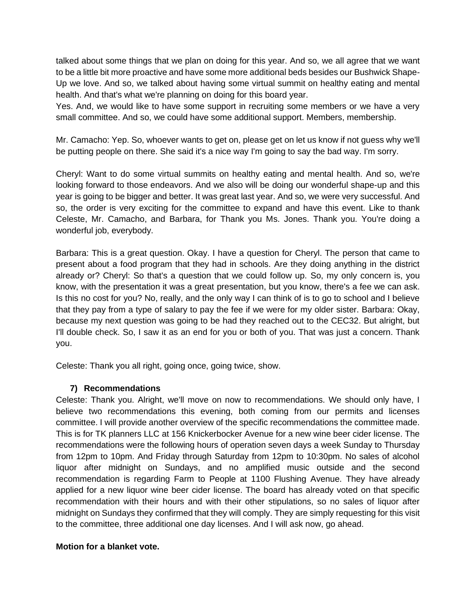talked about some things that we plan on doing for this year. And so, we all agree that we want to be a little bit more proactive and have some more additional beds besides our Bushwick Shape-Up we love. And so, we talked about having some virtual summit on healthy eating and mental health. And that's what we're planning on doing for this board year.

Yes. And, we would like to have some support in recruiting some members or we have a very small committee. And so, we could have some additional support. Members, membership.

Mr. Camacho: Yep. So, whoever wants to get on, please get on let us know if not guess why we'll be putting people on there. She said it's a nice way I'm going to say the bad way. I'm sorry.

Cheryl: Want to do some virtual summits on healthy eating and mental health. And so, we're looking forward to those endeavors. And we also will be doing our wonderful shape-up and this year is going to be bigger and better. It was great last year. And so, we were very successful. And so, the order is very exciting for the committee to expand and have this event. Like to thank Celeste, Mr. Camacho, and Barbara, for Thank you Ms. Jones. Thank you. You're doing a wonderful job, everybody.

Barbara: This is a great question. Okay. I have a question for Cheryl. The person that came to present about a food program that they had in schools. Are they doing anything in the district already or? Cheryl: So that's a question that we could follow up. So, my only concern is, you know, with the presentation it was a great presentation, but you know, there's a fee we can ask. Is this no cost for you? No, really, and the only way I can think of is to go to school and I believe that they pay from a type of salary to pay the fee if we were for my older sister. Barbara: Okay, because my next question was going to be had they reached out to the CEC32. But alright, but I'll double check. So, I saw it as an end for you or both of you. That was just a concern. Thank you.

Celeste: Thank you all right, going once, going twice, show.

# **7) Recommendations**

Celeste: Thank you. Alright, we'll move on now to recommendations. We should only have, I believe two recommendations this evening, both coming from our permits and licenses committee. I will provide another overview of the specific recommendations the committee made. This is for TK planners LLC at 156 Knickerbocker Avenue for a new wine beer cider license. The recommendations were the following hours of operation seven days a week Sunday to Thursday from 12pm to 10pm. And Friday through Saturday from 12pm to 10:30pm. No sales of alcohol liquor after midnight on Sundays, and no amplified music outside and the second recommendation is regarding Farm to People at 1100 Flushing Avenue. They have already applied for a new liquor wine beer cider license. The board has already voted on that specific recommendation with their hours and with their other stipulations, so no sales of liquor after midnight on Sundays they confirmed that they will comply. They are simply requesting for this visit to the committee, three additional one day licenses. And I will ask now, go ahead.

# **Motion for a blanket vote.**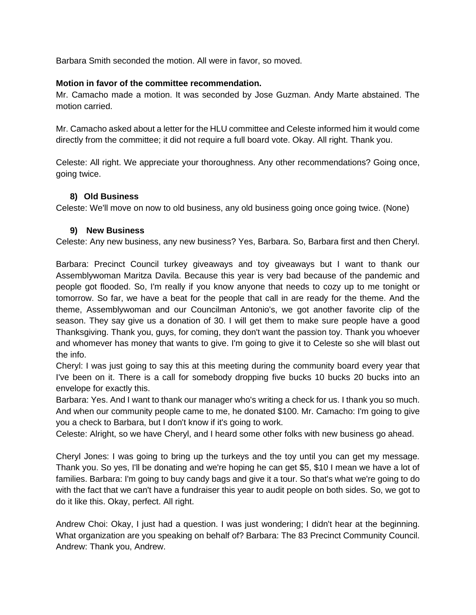Barbara Smith seconded the motion. All were in favor, so moved.

#### **Motion in favor of the committee recommendation.**

Mr. Camacho made a motion. It was seconded by Jose Guzman. Andy Marte abstained. The motion carried.

Mr. Camacho asked about a letter for the HLU committee and Celeste informed him it would come directly from the committee; it did not require a full board vote. Okay. All right. Thank you.

Celeste: All right. We appreciate your thoroughness. Any other recommendations? Going once, going twice.

### **8) Old Business**

Celeste: We'll move on now to old business, any old business going once going twice. (None)

#### **9) New Business**

Celeste: Any new business, any new business? Yes, Barbara. So, Barbara first and then Cheryl.

Barbara: Precinct Council turkey giveaways and toy giveaways but I want to thank our Assemblywoman Maritza Davila. Because this year is very bad because of the pandemic and people got flooded. So, I'm really if you know anyone that needs to cozy up to me tonight or tomorrow. So far, we have a beat for the people that call in are ready for the theme. And the theme, Assemblywoman and our Councilman Antonio's, we got another favorite clip of the season. They say give us a donation of 30. I will get them to make sure people have a good Thanksgiving. Thank you, guys, for coming, they don't want the passion toy. Thank you whoever and whomever has money that wants to give. I'm going to give it to Celeste so she will blast out the info.

Cheryl: I was just going to say this at this meeting during the community board every year that I've been on it. There is a call for somebody dropping five bucks 10 bucks 20 bucks into an envelope for exactly this.

Barbara: Yes. And I want to thank our manager who's writing a check for us. I thank you so much. And when our community people came to me, he donated \$100. Mr. Camacho: I'm going to give you a check to Barbara, but I don't know if it's going to work.

Celeste: Alright, so we have Cheryl, and I heard some other folks with new business go ahead.

Cheryl Jones: I was going to bring up the turkeys and the toy until you can get my message. Thank you. So yes, I'll be donating and we're hoping he can get \$5, \$10 I mean we have a lot of families. Barbara: I'm going to buy candy bags and give it a tour. So that's what we're going to do with the fact that we can't have a fundraiser this year to audit people on both sides. So, we got to do it like this. Okay, perfect. All right.

Andrew Choi: Okay, I just had a question. I was just wondering; I didn't hear at the beginning. What organization are you speaking on behalf of? Barbara: The 83 Precinct Community Council. Andrew: Thank you, Andrew.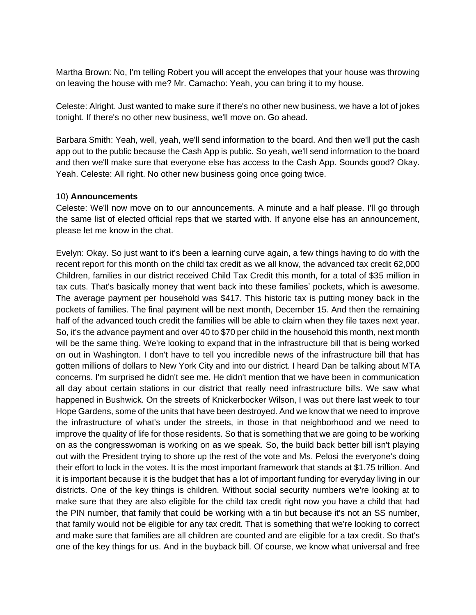Martha Brown: No, I'm telling Robert you will accept the envelopes that your house was throwing on leaving the house with me? Mr. Camacho: Yeah, you can bring it to my house.

Celeste: Alright. Just wanted to make sure if there's no other new business, we have a lot of jokes tonight. If there's no other new business, we'll move on. Go ahead.

Barbara Smith: Yeah, well, yeah, we'll send information to the board. And then we'll put the cash app out to the public because the Cash App is public. So yeah, we'll send information to the board and then we'll make sure that everyone else has access to the Cash App. Sounds good? Okay. Yeah. Celeste: All right. No other new business going once going twice.

### 10) **Announcements**

Celeste: We'll now move on to our announcements. A minute and a half please. I'll go through the same list of elected official reps that we started with. If anyone else has an announcement, please let me know in the chat.

Evelyn: Okay. So just want to it's been a learning curve again, a few things having to do with the recent report for this month on the child tax credit as we all know, the advanced tax credit 62,000 Children, families in our district received Child Tax Credit this month, for a total of \$35 million in tax cuts. That's basically money that went back into these families' pockets, which is awesome. The average payment per household was \$417. This historic tax is putting money back in the pockets of families. The final payment will be next month, December 15. And then the remaining half of the advanced touch credit the families will be able to claim when they file taxes next year. So, it's the advance payment and over 40 to \$70 per child in the household this month, next month will be the same thing. We're looking to expand that in the infrastructure bill that is being worked on out in Washington. I don't have to tell you incredible news of the infrastructure bill that has gotten millions of dollars to New York City and into our district. I heard Dan be talking about MTA concerns. I'm surprised he didn't see me. He didn't mention that we have been in communication all day about certain stations in our district that really need infrastructure bills. We saw what happened in Bushwick. On the streets of Knickerbocker Wilson, I was out there last week to tour Hope Gardens, some of the units that have been destroyed. And we know that we need to improve the infrastructure of what's under the streets, in those in that neighborhood and we need to improve the quality of life for those residents. So that is something that we are going to be working on as the congresswoman is working on as we speak. So, the build back better bill isn't playing out with the President trying to shore up the rest of the vote and Ms. Pelosi the everyone's doing their effort to lock in the votes. It is the most important framework that stands at \$1.75 trillion. And it is important because it is the budget that has a lot of important funding for everyday living in our districts. One of the key things is children. Without social security numbers we're looking at to make sure that they are also eligible for the child tax credit right now you have a child that had the PIN number, that family that could be working with a tin but because it's not an SS number, that family would not be eligible for any tax credit. That is something that we're looking to correct and make sure that families are all children are counted and are eligible for a tax credit. So that's one of the key things for us. And in the buyback bill. Of course, we know what universal and free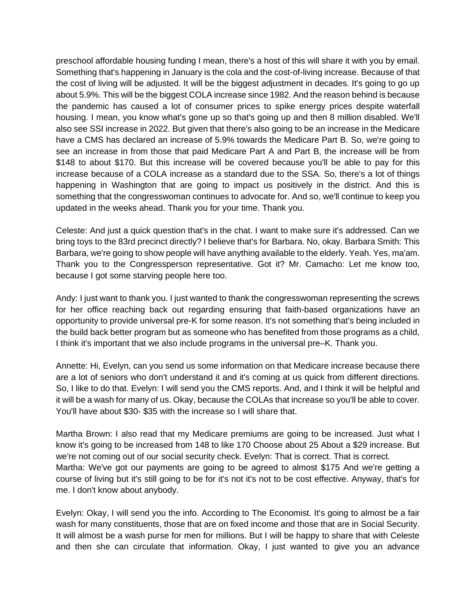preschool affordable housing funding I mean, there's a host of this will share it with you by email. Something that's happening in January is the cola and the cost-of-living increase. Because of that the cost of living will be adjusted. It will be the biggest adjustment in decades. It's going to go up about 5.9%. This will be the biggest COLA increase since 1982. And the reason behind is because the pandemic has caused a lot of consumer prices to spike energy prices despite waterfall housing. I mean, you know what's gone up so that's going up and then 8 million disabled. We'll also see SSI increase in 2022. But given that there's also going to be an increase in the Medicare have a CMS has declared an increase of 5.9% towards the Medicare Part B. So, we're going to see an increase in from those that paid Medicare Part A and Part B, the increase will be from \$148 to about \$170. But this increase will be covered because you'll be able to pay for this increase because of a COLA increase as a standard due to the SSA. So, there's a lot of things happening in Washington that are going to impact us positively in the district. And this is something that the congresswoman continues to advocate for. And so, we'll continue to keep you updated in the weeks ahead. Thank you for your time. Thank you.

Celeste: And just a quick question that's in the chat. I want to make sure it's addressed. Can we bring toys to the 83rd precinct directly? I believe that's for Barbara. No, okay. Barbara Smith: This Barbara, we're going to show people will have anything available to the elderly. Yeah. Yes, ma'am. Thank you to the Congressperson representative. Got it? Mr. Camacho: Let me know too, because I got some starving people here too.

Andy: I just want to thank you. I just wanted to thank the congresswoman representing the screws for her office reaching back out regarding ensuring that faith-based organizations have an opportunity to provide universal pre-K for some reason. It's not something that's being included in the build back better program but as someone who has benefited from those programs as a child, I think it's important that we also include programs in the universal pre–K. Thank you.

Annette: Hi, Evelyn, can you send us some information on that Medicare increase because there are a lot of seniors who don't understand it and it's coming at us quick from different directions. So, I like to do that. Evelyn: I will send you the CMS reports. And, and I think it will be helpful and it will be a wash for many of us. Okay, because the COLAs that increase so you'll be able to cover. You'll have about \$30- \$35 with the increase so I will share that.

Martha Brown: I also read that my Medicare premiums are going to be increased. Just what I know it's going to be increased from 148 to like 170 Choose about 25 About a \$29 increase. But we're not coming out of our social security check. Evelyn: That is correct. That is correct. Martha: We've got our payments are going to be agreed to almost \$175 And we're getting a course of living but it's still going to be for it's not it's not to be cost effective. Anyway, that's for me. I don't know about anybody.

Evelyn: Okay, I will send you the info. According to The Economist. It's going to almost be a fair wash for many constituents, those that are on fixed income and those that are in Social Security. It will almost be a wash purse for men for millions. But I will be happy to share that with Celeste and then she can circulate that information. Okay, I just wanted to give you an advance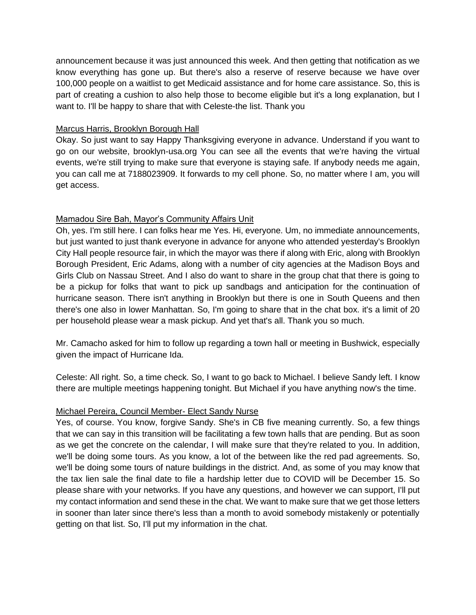announcement because it was just announced this week. And then getting that notification as we know everything has gone up. But there's also a reserve of reserve because we have over 100,000 people on a waitlist to get Medicaid assistance and for home care assistance. So, this is part of creating a cushion to also help those to become eligible but it's a long explanation, but I want to. I'll be happy to share that with Celeste-the list. Thank you

## Marcus Harris, Brooklyn Borough Hall

Okay. So just want to say Happy Thanksgiving everyone in advance. Understand if you want to go on our website, brooklyn-usa.org You can see all the events that we're having the virtual events, we're still trying to make sure that everyone is staying safe. If anybody needs me again, you can call me at 7188023909. It forwards to my cell phone. So, no matter where I am, you will get access.

## Mamadou Sire Bah, Mayor's Community Affairs Unit

Oh, yes. I'm still here. I can folks hear me Yes. Hi, everyone. Um, no immediate announcements, but just wanted to just thank everyone in advance for anyone who attended yesterday's Brooklyn City Hall people resource fair, in which the mayor was there if along with Eric, along with Brooklyn Borough President, Eric Adams, along with a number of city agencies at the Madison Boys and Girls Club on Nassau Street. And I also do want to share in the group chat that there is going to be a pickup for folks that want to pick up sandbags and anticipation for the continuation of hurricane season. There isn't anything in Brooklyn but there is one in South Queens and then there's one also in lower Manhattan. So, I'm going to share that in the chat box. it's a limit of 20 per household please wear a mask pickup. And yet that's all. Thank you so much.

Mr. Camacho asked for him to follow up regarding a town hall or meeting in Bushwick, especially given the impact of Hurricane Ida.

Celeste: All right. So, a time check. So, I want to go back to Michael. I believe Sandy left. I know there are multiple meetings happening tonight. But Michael if you have anything now's the time.

### Michael Pereira, Council Member- Elect Sandy Nurse

Yes, of course. You know, forgive Sandy. She's in CB five meaning currently. So, a few things that we can say in this transition will be facilitating a few town halls that are pending. But as soon as we get the concrete on the calendar, I will make sure that they're related to you. In addition, we'll be doing some tours. As you know, a lot of the between like the red pad agreements. So, we'll be doing some tours of nature buildings in the district. And, as some of you may know that the tax lien sale the final date to file a hardship letter due to COVID will be December 15. So please share with your networks. If you have any questions, and however we can support, I'll put my contact information and send these in the chat. We want to make sure that we get those letters in sooner than later since there's less than a month to avoid somebody mistakenly or potentially getting on that list. So, I'll put my information in the chat.